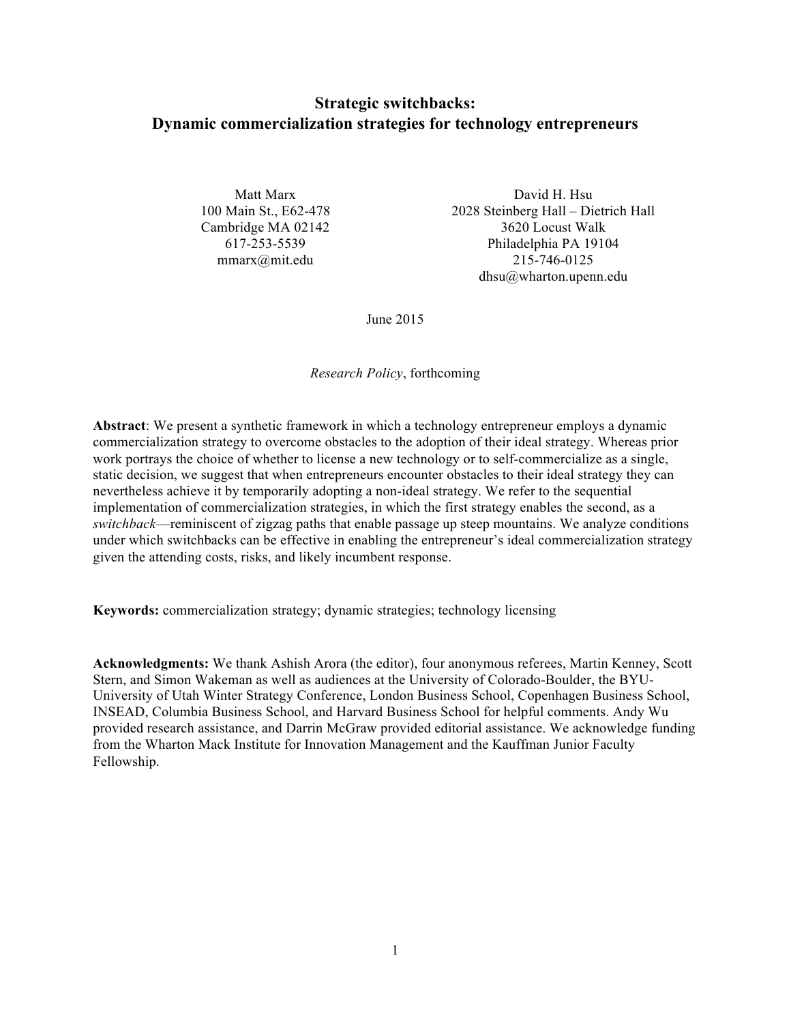# **Strategic switchbacks: Dynamic commercialization strategies for technology entrepreneurs**

Matt Marx 100 Main St., E62-478 Cambridge MA 02142 617-253-5539 mmarx@mit.edu

David H. Hsu 2028 Steinberg Hall – Dietrich Hall 3620 Locust Walk Philadelphia PA 19104 215-746-0125 dhsu@wharton.upenn.edu

June 2015

# *Research Policy*, forthcoming

**Abstract**: We present a synthetic framework in which a technology entrepreneur employs a dynamic commercialization strategy to overcome obstacles to the adoption of their ideal strategy. Whereas prior work portrays the choice of whether to license a new technology or to self-commercialize as a single, static decision, we suggest that when entrepreneurs encounter obstacles to their ideal strategy they can nevertheless achieve it by temporarily adopting a non-ideal strategy. We refer to the sequential implementation of commercialization strategies, in which the first strategy enables the second, as a *switchback*—reminiscent of zigzag paths that enable passage up steep mountains. We analyze conditions under which switchbacks can be effective in enabling the entrepreneur's ideal commercialization strategy given the attending costs, risks, and likely incumbent response.

**Keywords:** commercialization strategy; dynamic strategies; technology licensing

**Acknowledgments:** We thank Ashish Arora (the editor), four anonymous referees, Martin Kenney, Scott Stern, and Simon Wakeman as well as audiences at the University of Colorado-Boulder, the BYU-University of Utah Winter Strategy Conference, London Business School, Copenhagen Business School, INSEAD, Columbia Business School, and Harvard Business School for helpful comments. Andy Wu provided research assistance, and Darrin McGraw provided editorial assistance. We acknowledge funding from the Wharton Mack Institute for Innovation Management and the Kauffman Junior Faculty Fellowship.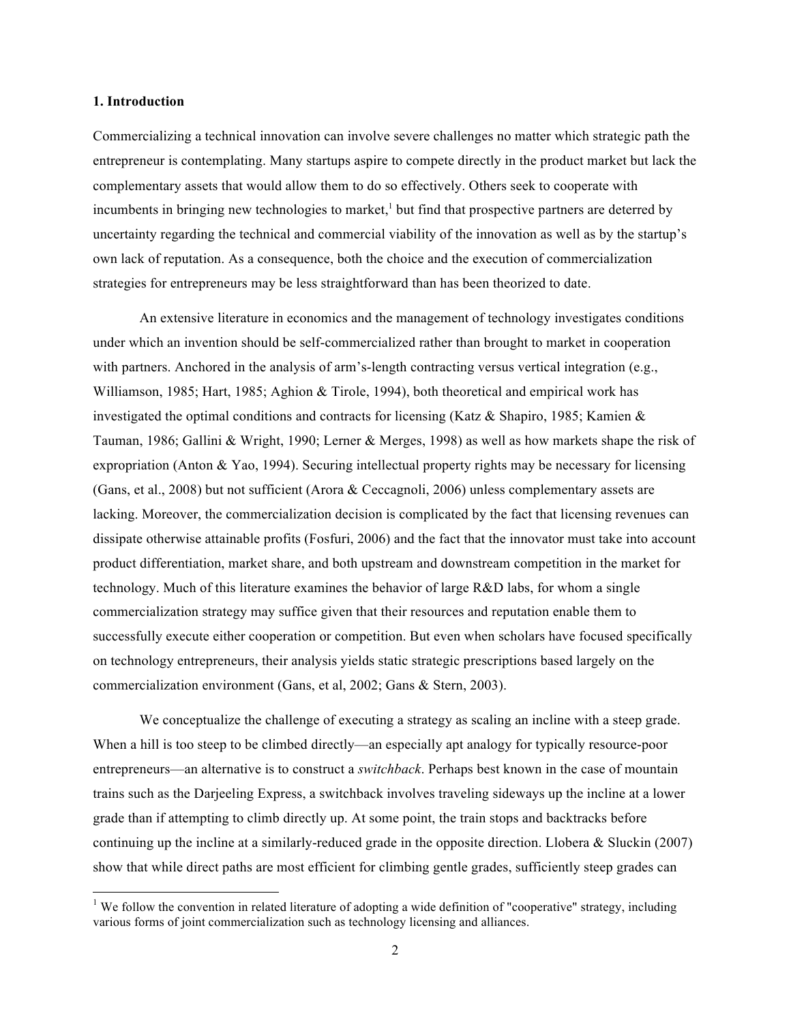#### **1. Introduction**

Commercializing a technical innovation can involve severe challenges no matter which strategic path the entrepreneur is contemplating. Many startups aspire to compete directly in the product market but lack the complementary assets that would allow them to do so effectively. Others seek to cooperate with incumbents in bringing new technologies to market,<sup>1</sup> but find that prospective partners are deterred by uncertainty regarding the technical and commercial viability of the innovation as well as by the startup's own lack of reputation. As a consequence, both the choice and the execution of commercialization strategies for entrepreneurs may be less straightforward than has been theorized to date.

An extensive literature in economics and the management of technology investigates conditions under which an invention should be self-commercialized rather than brought to market in cooperation with partners. Anchored in the analysis of arm's-length contracting versus vertical integration (e.g., Williamson, 1985; Hart, 1985; Aghion & Tirole, 1994), both theoretical and empirical work has investigated the optimal conditions and contracts for licensing (Katz & Shapiro, 1985; Kamien & Tauman, 1986; Gallini & Wright, 1990; Lerner & Merges, 1998) as well as how markets shape the risk of expropriation (Anton & Yao, 1994). Securing intellectual property rights may be necessary for licensing (Gans, et al., 2008) but not sufficient (Arora & Ceccagnoli, 2006) unless complementary assets are lacking. Moreover, the commercialization decision is complicated by the fact that licensing revenues can dissipate otherwise attainable profits (Fosfuri, 2006) and the fact that the innovator must take into account product differentiation, market share, and both upstream and downstream competition in the market for technology. Much of this literature examines the behavior of large R&D labs, for whom a single commercialization strategy may suffice given that their resources and reputation enable them to successfully execute either cooperation or competition. But even when scholars have focused specifically on technology entrepreneurs, their analysis yields static strategic prescriptions based largely on the commercialization environment (Gans, et al, 2002; Gans & Stern, 2003).

We conceptualize the challenge of executing a strategy as scaling an incline with a steep grade. When a hill is too steep to be climbed directly—an especially apt analogy for typically resource-poor entrepreneurs—an alternative is to construct a *switchback*. Perhaps best known in the case of mountain trains such as the Darjeeling Express, a switchback involves traveling sideways up the incline at a lower grade than if attempting to climb directly up. At some point, the train stops and backtracks before continuing up the incline at a similarly-reduced grade in the opposite direction. Llobera & Sluckin (2007) show that while direct paths are most efficient for climbing gentle grades, sufficiently steep grades can

<sup>&</sup>lt;sup>1</sup> We follow the convention in related literature of adopting a wide definition of "cooperative" strategy, including various forms of joint commercialization such as technology licensing and alliances.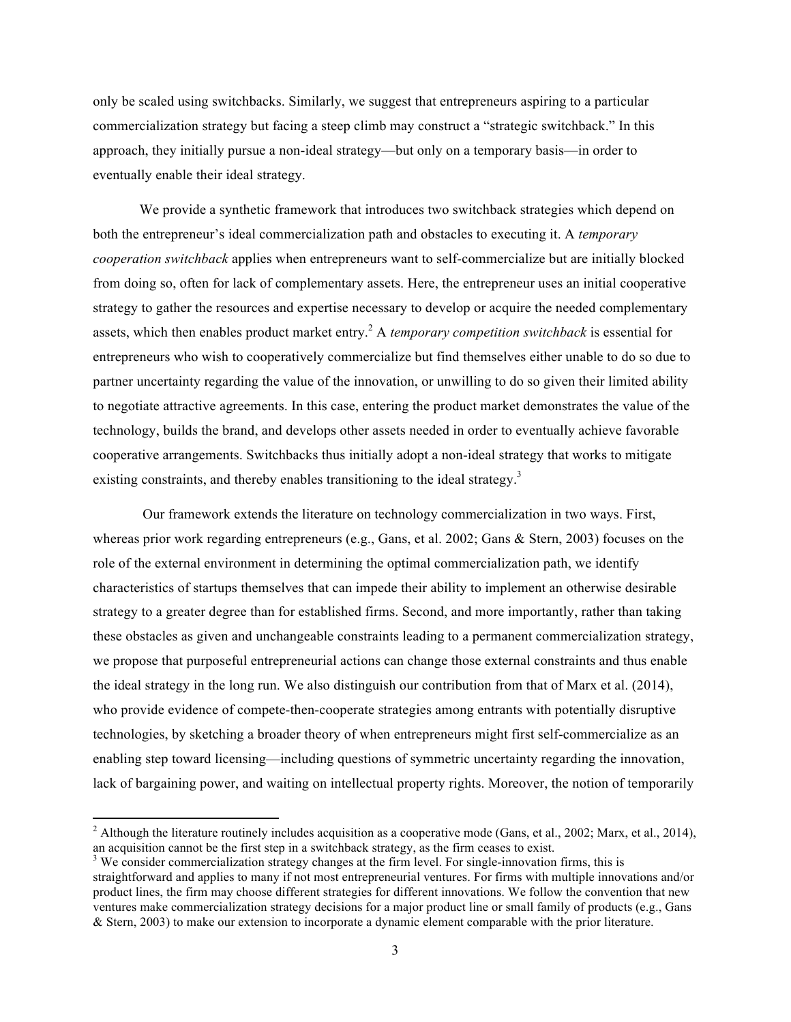only be scaled using switchbacks. Similarly, we suggest that entrepreneurs aspiring to a particular commercialization strategy but facing a steep climb may construct a "strategic switchback." In this approach, they initially pursue a non-ideal strategy—but only on a temporary basis—in order to eventually enable their ideal strategy.

We provide a synthetic framework that introduces two switchback strategies which depend on both the entrepreneur's ideal commercialization path and obstacles to executing it. A *temporary cooperation switchback* applies when entrepreneurs want to self-commercialize but are initially blocked from doing so, often for lack of complementary assets. Here, the entrepreneur uses an initial cooperative strategy to gather the resources and expertise necessary to develop or acquire the needed complementary assets, which then enables product market entry. <sup>2</sup> A *temporary competition switchback* is essential for entrepreneurs who wish to cooperatively commercialize but find themselves either unable to do so due to partner uncertainty regarding the value of the innovation, or unwilling to do so given their limited ability to negotiate attractive agreements. In this case, entering the product market demonstrates the value of the technology, builds the brand, and develops other assets needed in order to eventually achieve favorable cooperative arrangements. Switchbacks thus initially adopt a non-ideal strategy that works to mitigate existing constraints, and thereby enables transitioning to the ideal strategy.<sup>3</sup>

Our framework extends the literature on technology commercialization in two ways. First, whereas prior work regarding entrepreneurs (e.g., Gans, et al. 2002; Gans & Stern, 2003) focuses on the role of the external environment in determining the optimal commercialization path, we identify characteristics of startups themselves that can impede their ability to implement an otherwise desirable strategy to a greater degree than for established firms. Second, and more importantly, rather than taking these obstacles as given and unchangeable constraints leading to a permanent commercialization strategy, we propose that purposeful entrepreneurial actions can change those external constraints and thus enable the ideal strategy in the long run. We also distinguish our contribution from that of Marx et al. (2014), who provide evidence of compete-then-cooperate strategies among entrants with potentially disruptive technologies, by sketching a broader theory of when entrepreneurs might first self-commercialize as an enabling step toward licensing—including questions of symmetric uncertainty regarding the innovation, lack of bargaining power, and waiting on intellectual property rights. Moreover, the notion of temporarily

<sup>&</sup>lt;sup>2</sup> Although the literature routinely includes acquisition as a cooperative mode (Gans, et al., 2002; Marx, et al., 2014), an acquisition cannot be the first step in a switchback strategy, as the firm ceases to exist.<br><sup>3</sup> We consider commercialization strategy changes at the firm level. For single-innovation firms, this is

straightforward and applies to many if not most entrepreneurial ventures. For firms with multiple innovations and/or product lines, the firm may choose different strategies for different innovations. We follow the convention that new ventures make commercialization strategy decisions for a major product line or small family of products (e.g., Gans & Stern, 2003) to make our extension to incorporate a dynamic element comparable with the prior literature.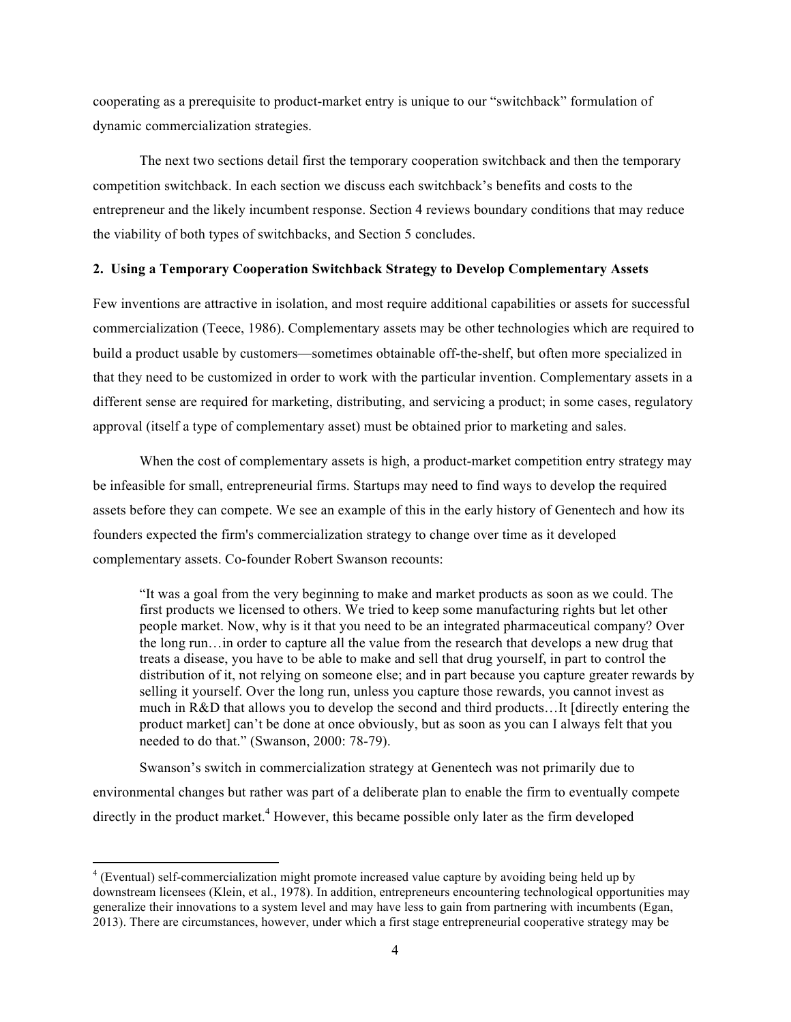cooperating as a prerequisite to product-market entry is unique to our "switchback" formulation of dynamic commercialization strategies.

The next two sections detail first the temporary cooperation switchback and then the temporary competition switchback. In each section we discuss each switchback's benefits and costs to the entrepreneur and the likely incumbent response. Section 4 reviews boundary conditions that may reduce the viability of both types of switchbacks, and Section 5 concludes.

## **2. Using a Temporary Cooperation Switchback Strategy to Develop Complementary Assets**

Few inventions are attractive in isolation, and most require additional capabilities or assets for successful commercialization (Teece, 1986). Complementary assets may be other technologies which are required to build a product usable by customers—sometimes obtainable off-the-shelf, but often more specialized in that they need to be customized in order to work with the particular invention. Complementary assets in a different sense are required for marketing, distributing, and servicing a product; in some cases, regulatory approval (itself a type of complementary asset) must be obtained prior to marketing and sales.

When the cost of complementary assets is high, a product-market competition entry strategy may be infeasible for small, entrepreneurial firms. Startups may need to find ways to develop the required assets before they can compete. We see an example of this in the early history of Genentech and how its founders expected the firm's commercialization strategy to change over time as it developed complementary assets. Co-founder Robert Swanson recounts:

"It was a goal from the very beginning to make and market products as soon as we could. The first products we licensed to others. We tried to keep some manufacturing rights but let other people market. Now, why is it that you need to be an integrated pharmaceutical company? Over the long run…in order to capture all the value from the research that develops a new drug that treats a disease, you have to be able to make and sell that drug yourself, in part to control the distribution of it, not relying on someone else; and in part because you capture greater rewards by selling it yourself. Over the long run, unless you capture those rewards, you cannot invest as much in R&D that allows you to develop the second and third products…It [directly entering the product market] can't be done at once obviously, but as soon as you can I always felt that you needed to do that." (Swanson, 2000: 78-79).

Swanson's switch in commercialization strategy at Genentech was not primarily due to environmental changes but rather was part of a deliberate plan to enable the firm to eventually compete directly in the product market.<sup>4</sup> However, this became possible only later as the firm developed

 $<sup>4</sup>$  (Eventual) self-commercialization might promote increased value capture by avoiding being held up by</sup> downstream licensees (Klein, et al., 1978). In addition, entrepreneurs encountering technological opportunities may generalize their innovations to a system level and may have less to gain from partnering with incumbents (Egan, 2013). There are circumstances, however, under which a first stage entrepreneurial cooperative strategy may be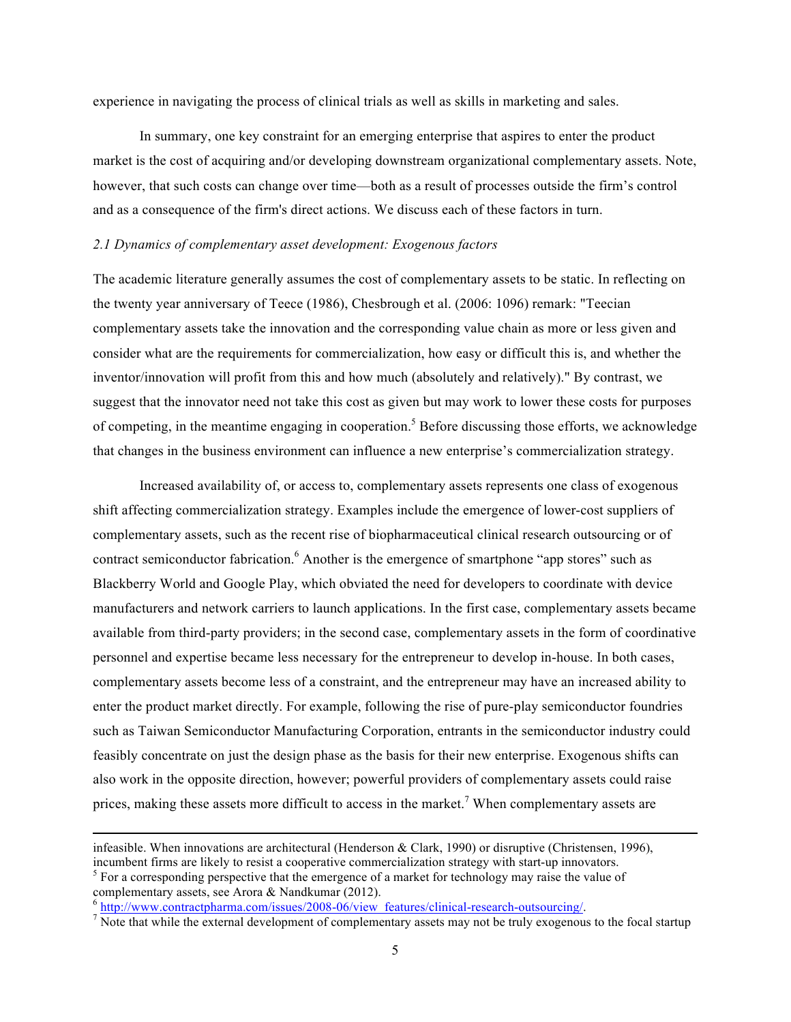experience in navigating the process of clinical trials as well as skills in marketing and sales.

In summary, one key constraint for an emerging enterprise that aspires to enter the product market is the cost of acquiring and/or developing downstream organizational complementary assets. Note, however, that such costs can change over time—both as a result of processes outside the firm's control and as a consequence of the firm's direct actions. We discuss each of these factors in turn.

### *2.1 Dynamics of complementary asset development: Exogenous factors*

The academic literature generally assumes the cost of complementary assets to be static. In reflecting on the twenty year anniversary of Teece (1986), Chesbrough et al. (2006: 1096) remark: "Teecian complementary assets take the innovation and the corresponding value chain as more or less given and consider what are the requirements for commercialization, how easy or difficult this is, and whether the inventor/innovation will profit from this and how much (absolutely and relatively)." By contrast, we suggest that the innovator need not take this cost as given but may work to lower these costs for purposes of competing, in the meantime engaging in cooperation.<sup>5</sup> Before discussing those efforts, we acknowledge that changes in the business environment can influence a new enterprise's commercialization strategy.

Increased availability of, or access to, complementary assets represents one class of exogenous shift affecting commercialization strategy. Examples include the emergence of lower-cost suppliers of complementary assets, such as the recent rise of biopharmaceutical clinical research outsourcing or of contract semiconductor fabrication.<sup>6</sup> Another is the emergence of smartphone "app stores" such as Blackberry World and Google Play, which obviated the need for developers to coordinate with device manufacturers and network carriers to launch applications. In the first case, complementary assets became available from third-party providers; in the second case, complementary assets in the form of coordinative personnel and expertise became less necessary for the entrepreneur to develop in-house. In both cases, complementary assets become less of a constraint, and the entrepreneur may have an increased ability to enter the product market directly. For example, following the rise of pure-play semiconductor foundries such as Taiwan Semiconductor Manufacturing Corporation, entrants in the semiconductor industry could feasibly concentrate on just the design phase as the basis for their new enterprise. Exogenous shifts can also work in the opposite direction, however; powerful providers of complementary assets could raise prices, making these assets more difficult to access in the market.<sup>7</sup> When complementary assets are

!!!!!!!!!!!!!!!!!!!!!!!!!!!!!!!!!!!!!!!!!!!!!!!!!!!!!!!!!!!!!!!!!!!!!!!!!!!!!!!!!!!!!!!!!!!!!!!!!!!!!!!!!!!!!!!!!!!!!!!!!!!!!!!!!!!!!!!!!!!!!!!!!!!!!!!!!!!!!!!!!!!!!!!!!!!!!!!!!!!!!!!!!!!!!!!!!!!

infeasible. When innovations are architectural (Henderson & Clark, 1990) or disruptive (Christensen, 1996), incumbent firms are likely to resist a cooperative commercialization strategy with start-up innovators.  $5$  For a corresponding perspective that the emergence of a market for technology may raise the value of

complementary assets, see Arora & Nandkumar (2012).<br>
<sup>6</sup> http://www.contractpharma.com/issues/2008-06/view features/clinical-research-outsourcing/.

 $\frac{1}{\sqrt{N}}$  Note that while the external development of complementary assets may not be truly exogenous to the focal startup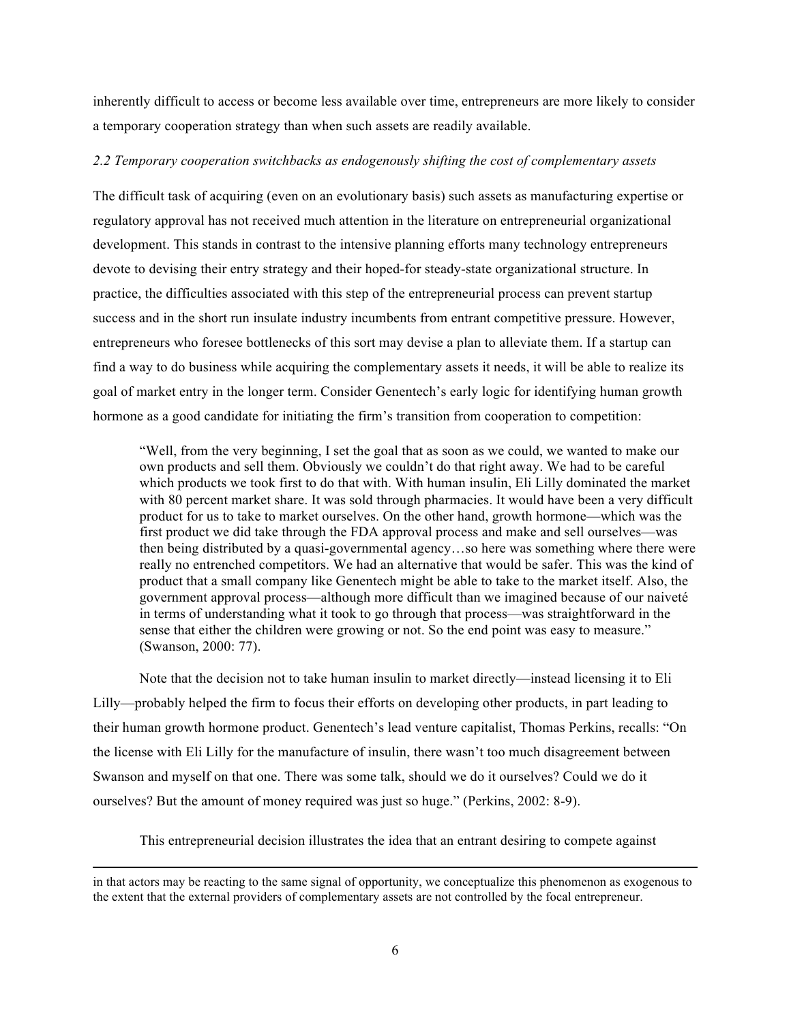inherently difficult to access or become less available over time, entrepreneurs are more likely to consider a temporary cooperation strategy than when such assets are readily available.

### *2.2 Temporary cooperation switchbacks as endogenously shifting the cost of complementary assets*

The difficult task of acquiring (even on an evolutionary basis) such assets as manufacturing expertise or regulatory approval has not received much attention in the literature on entrepreneurial organizational development. This stands in contrast to the intensive planning efforts many technology entrepreneurs devote to devising their entry strategy and their hoped-for steady-state organizational structure. In practice, the difficulties associated with this step of the entrepreneurial process can prevent startup success and in the short run insulate industry incumbents from entrant competitive pressure. However, entrepreneurs who foresee bottlenecks of this sort may devise a plan to alleviate them. If a startup can find a way to do business while acquiring the complementary assets it needs, it will be able to realize its goal of market entry in the longer term. Consider Genentech's early logic for identifying human growth hormone as a good candidate for initiating the firm's transition from cooperation to competition:

"Well, from the very beginning, I set the goal that as soon as we could, we wanted to make our own products and sell them. Obviously we couldn't do that right away. We had to be careful which products we took first to do that with. With human insulin, Eli Lilly dominated the market with 80 percent market share. It was sold through pharmacies. It would have been a very difficult product for us to take to market ourselves. On the other hand, growth hormone—which was the first product we did take through the FDA approval process and make and sell ourselves—was then being distributed by a quasi-governmental agency…so here was something where there were really no entrenched competitors. We had an alternative that would be safer. This was the kind of product that a small company like Genentech might be able to take to the market itself. Also, the government approval process—although more difficult than we imagined because of our naiveté in terms of understanding what it took to go through that process—was straightforward in the sense that either the children were growing or not. So the end point was easy to measure." (Swanson, 2000: 77).

Note that the decision not to take human insulin to market directly—instead licensing it to Eli Lilly—probably helped the firm to focus their efforts on developing other products, in part leading to their human growth hormone product. Genentech's lead venture capitalist, Thomas Perkins, recalls: "On the license with Eli Lilly for the manufacture of insulin, there wasn't too much disagreement between Swanson and myself on that one. There was some talk, should we do it ourselves? Could we do it ourselves? But the amount of money required was just so huge." (Perkins, 2002: 8-9).

This entrepreneurial decision illustrates the idea that an entrant desiring to compete against !!!!!!!!!!!!!!!!!!!!!!!!!!!!!!!!!!!!!!!!!!!!!!!!!!!!!!!!!!!!!!!!!!!!!!!!!!!!!!!!!!!!!!!!!!!!!!!!!!!!!!!!!!!!!!!!!!!!!!!!!!!!!!!!!!!!!!!!!!!!!!!!!!!!!!!!!!!!!!!!!!!!!!!!!!!!!!!!!!!!!!!!!!!!!!!!!!!

in that actors may be reacting to the same signal of opportunity, we conceptualize this phenomenon as exogenous to the extent that the external providers of complementary assets are not controlled by the focal entrepreneur.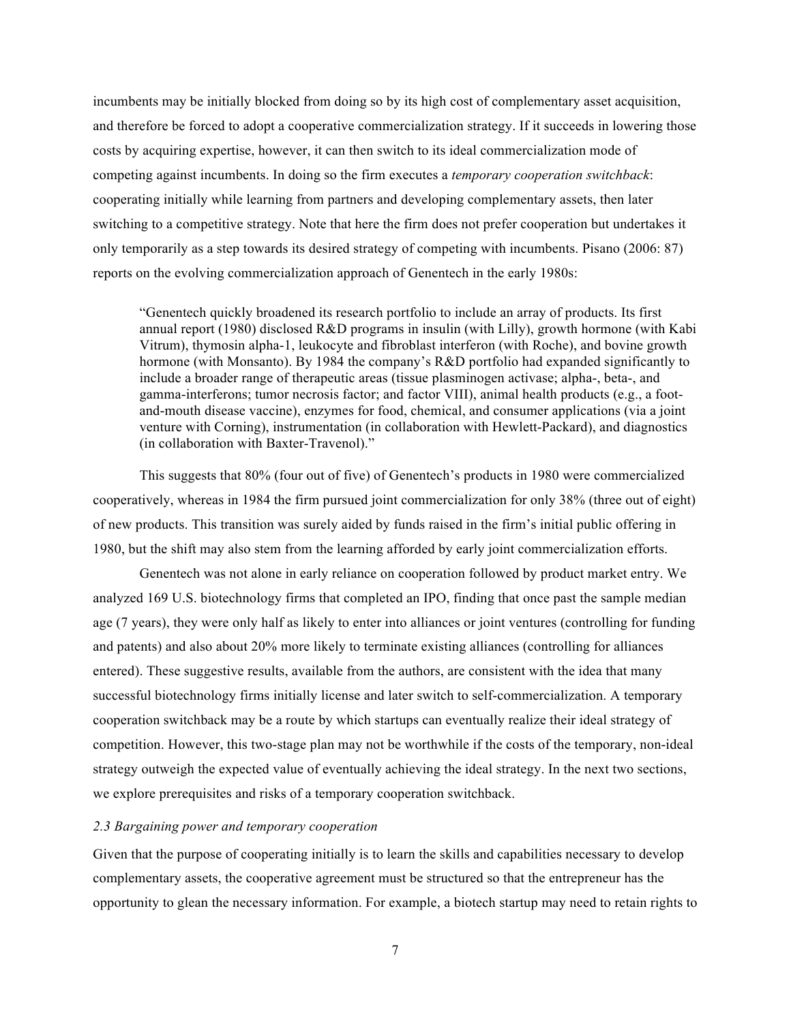incumbents may be initially blocked from doing so by its high cost of complementary asset acquisition, and therefore be forced to adopt a cooperative commercialization strategy. If it succeeds in lowering those costs by acquiring expertise, however, it can then switch to its ideal commercialization mode of competing against incumbents. In doing so the firm executes a *temporary cooperation switchback*: cooperating initially while learning from partners and developing complementary assets, then later switching to a competitive strategy. Note that here the firm does not prefer cooperation but undertakes it only temporarily as a step towards its desired strategy of competing with incumbents. Pisano (2006: 87) reports on the evolving commercialization approach of Genentech in the early 1980s:

"Genentech quickly broadened its research portfolio to include an array of products. Its first annual report (1980) disclosed R&D programs in insulin (with Lilly), growth hormone (with Kabi Vitrum), thymosin alpha-1, leukocyte and fibroblast interferon (with Roche), and bovine growth hormone (with Monsanto). By 1984 the company's R&D portfolio had expanded significantly to include a broader range of therapeutic areas (tissue plasminogen activase; alpha-, beta-, and gamma-interferons; tumor necrosis factor; and factor VIII), animal health products (e.g., a footand-mouth disease vaccine), enzymes for food, chemical, and consumer applications (via a joint venture with Corning), instrumentation (in collaboration with Hewlett-Packard), and diagnostics (in collaboration with Baxter-Travenol)."

This suggests that 80% (four out of five) of Genentech's products in 1980 were commercialized cooperatively, whereas in 1984 the firm pursued joint commercialization for only 38% (three out of eight) of new products. This transition was surely aided by funds raised in the firm's initial public offering in 1980, but the shift may also stem from the learning afforded by early joint commercialization efforts.

Genentech was not alone in early reliance on cooperation followed by product market entry. We analyzed 169 U.S. biotechnology firms that completed an IPO, finding that once past the sample median age (7 years), they were only half as likely to enter into alliances or joint ventures (controlling for funding and patents) and also about 20% more likely to terminate existing alliances (controlling for alliances entered). These suggestive results, available from the authors, are consistent with the idea that many successful biotechnology firms initially license and later switch to self-commercialization. A temporary cooperation switchback may be a route by which startups can eventually realize their ideal strategy of competition. However, this two-stage plan may not be worthwhile if the costs of the temporary, non-ideal strategy outweigh the expected value of eventually achieving the ideal strategy. In the next two sections, we explore prerequisites and risks of a temporary cooperation switchback.

### *2.3 Bargaining power and temporary cooperation*

Given that the purpose of cooperating initially is to learn the skills and capabilities necessary to develop complementary assets, the cooperative agreement must be structured so that the entrepreneur has the opportunity to glean the necessary information. For example, a biotech startup may need to retain rights to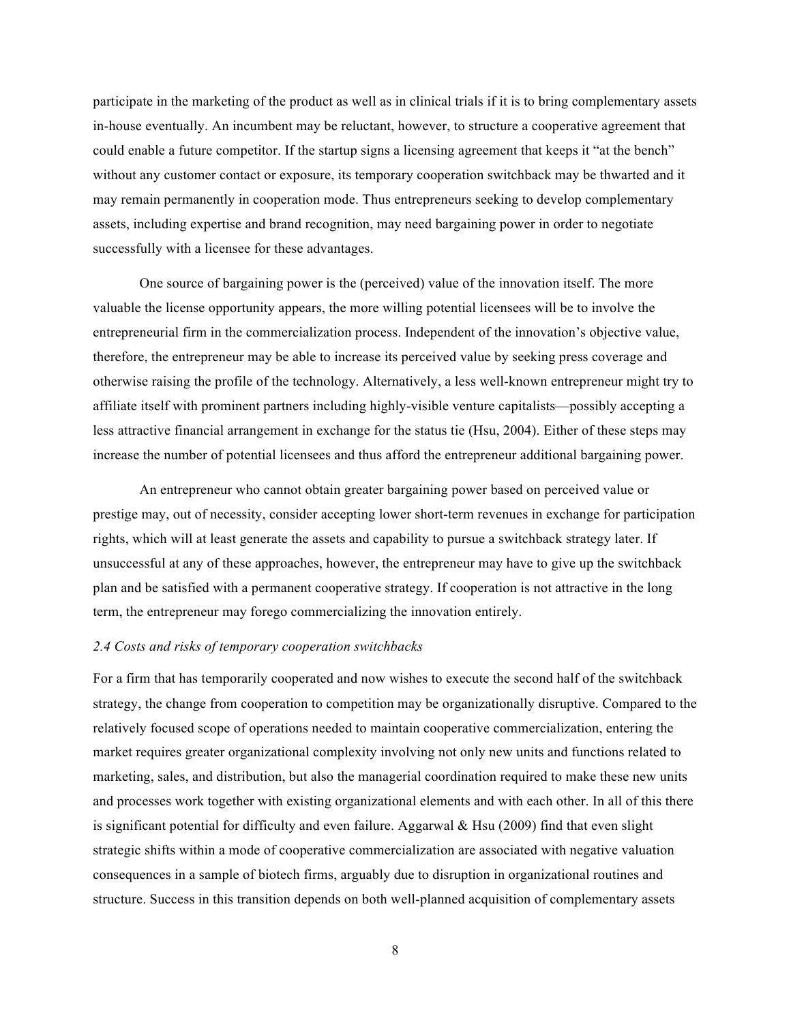participate in the marketing of the product as well as in clinical trials if it is to bring complementary assets in-house eventually. An incumbent may be reluctant, however, to structure a cooperative agreement that could enable a future competitor. If the startup signs a licensing agreement that keeps it "at the bench" without any customer contact or exposure, its temporary cooperation switchback may be thwarted and it may remain permanently in cooperation mode. Thus entrepreneurs seeking to develop complementary assets, including expertise and brand recognition, may need bargaining power in order to negotiate successfully with a licensee for these advantages.

One source of bargaining power is the (perceived) value of the innovation itself. The more valuable the license opportunity appears, the more willing potential licensees will be to involve the entrepreneurial firm in the commercialization process. Independent of the innovation's objective value, therefore, the entrepreneur may be able to increase its perceived value by seeking press coverage and otherwise raising the profile of the technology. Alternatively, a less well-known entrepreneur might try to affiliate itself with prominent partners including highly-visible venture capitalists—possibly accepting a less attractive financial arrangement in exchange for the status tie (Hsu, 2004). Either of these steps may increase the number of potential licensees and thus afford the entrepreneur additional bargaining power.

An entrepreneur who cannot obtain greater bargaining power based on perceived value or prestige may, out of necessity, consider accepting lower short-term revenues in exchange for participation rights, which will at least generate the assets and capability to pursue a switchback strategy later. If unsuccessful at any of these approaches, however, the entrepreneur may have to give up the switchback plan and be satisfied with a permanent cooperative strategy. If cooperation is not attractive in the long term, the entrepreneur may forego commercializing the innovation entirely.

#### *2.4 Costs and risks of temporary cooperation switchbacks*

For a firm that has temporarily cooperated and now wishes to execute the second half of the switchback strategy, the change from cooperation to competition may be organizationally disruptive. Compared to the relatively focused scope of operations needed to maintain cooperative commercialization, entering the market requires greater organizational complexity involving not only new units and functions related to marketing, sales, and distribution, but also the managerial coordination required to make these new units and processes work together with existing organizational elements and with each other. In all of this there is significant potential for difficulty and even failure. Aggarwal  $\&$  Hsu (2009) find that even slight strategic shifts within a mode of cooperative commercialization are associated with negative valuation consequences in a sample of biotech firms, arguably due to disruption in organizational routines and structure. Success in this transition depends on both well-planned acquisition of complementary assets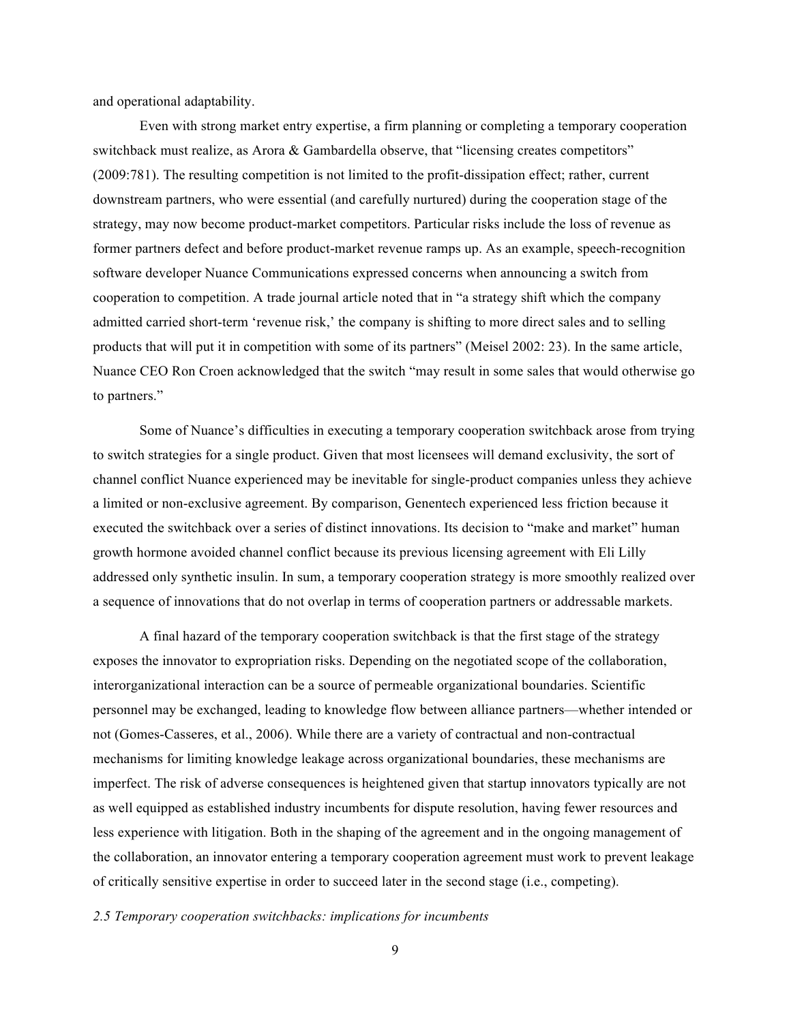and operational adaptability.

Even with strong market entry expertise, a firm planning or completing a temporary cooperation switchback must realize, as Arora & Gambardella observe, that "licensing creates competitors" (2009:781). The resulting competition is not limited to the profit-dissipation effect; rather, current downstream partners, who were essential (and carefully nurtured) during the cooperation stage of the strategy, may now become product-market competitors. Particular risks include the loss of revenue as former partners defect and before product-market revenue ramps up. As an example, speech-recognition software developer Nuance Communications expressed concerns when announcing a switch from cooperation to competition. A trade journal article noted that in "a strategy shift which the company admitted carried short-term 'revenue risk,' the company is shifting to more direct sales and to selling products that will put it in competition with some of its partners" (Meisel 2002: 23). In the same article, Nuance CEO Ron Croen acknowledged that the switch "may result in some sales that would otherwise go to partners."

Some of Nuance's difficulties in executing a temporary cooperation switchback arose from trying to switch strategies for a single product. Given that most licensees will demand exclusivity, the sort of channel conflict Nuance experienced may be inevitable for single-product companies unless they achieve a limited or non-exclusive agreement. By comparison, Genentech experienced less friction because it executed the switchback over a series of distinct innovations. Its decision to "make and market" human growth hormone avoided channel conflict because its previous licensing agreement with Eli Lilly addressed only synthetic insulin. In sum, a temporary cooperation strategy is more smoothly realized over a sequence of innovations that do not overlap in terms of cooperation partners or addressable markets.

A final hazard of the temporary cooperation switchback is that the first stage of the strategy exposes the innovator to expropriation risks. Depending on the negotiated scope of the collaboration, interorganizational interaction can be a source of permeable organizational boundaries. Scientific personnel may be exchanged, leading to knowledge flow between alliance partners—whether intended or not (Gomes-Casseres, et al., 2006). While there are a variety of contractual and non-contractual mechanisms for limiting knowledge leakage across organizational boundaries, these mechanisms are imperfect. The risk of adverse consequences is heightened given that startup innovators typically are not as well equipped as established industry incumbents for dispute resolution, having fewer resources and less experience with litigation. Both in the shaping of the agreement and in the ongoing management of the collaboration, an innovator entering a temporary cooperation agreement must work to prevent leakage of critically sensitive expertise in order to succeed later in the second stage (i.e., competing).

#### *2.5 Temporary cooperation switchbacks: implications for incumbents*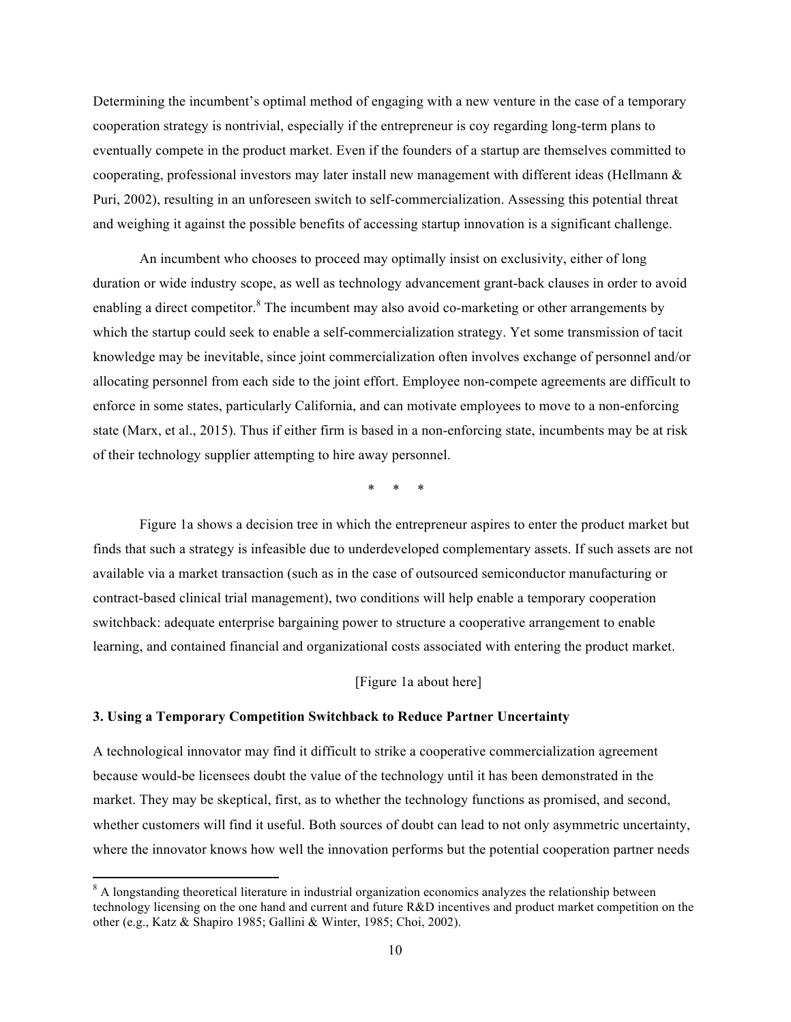Determining the incumbent's optimal method of engaging with a new venture in the case of a temporary cooperation strategy is nontrivial, especially if the entrepreneur is coy regarding long-term plans to eventually compete in the product market. Even if the founders of a startup are themselves committed to cooperating, professional investors may later install new management with different ideas (Hellmann & Puri, 2002), resulting in an unforeseen switch to self-commercialization. Assessing this potential threat and weighing it against the possible benefits of accessing startup innovation is a significant challenge.

An incumbent who chooses to proceed may optimally insist on exclusivity, either of long duration or wide industry scope, as well as technology advancement grant-back clauses in order to avoid enabling a direct competitor. $8$  The incumbent may also avoid co-marketing or other arrangements by which the startup could seek to enable a self-commercialization strategy. Yet some transmission of tacit knowledge may be inevitable, since joint commercialization often involves exchange of personnel and/or allocating personnel from each side to the joint effort. Employee non-compete agreements are difficult to enforce in some states, particularly California, and can motivate employees to move to a non-enforcing state (Marx, et al., 2015). Thus if either firm is based in a non-enforcing state, incumbents may be at risk of their technology supplier attempting to hire away personnel.

*\* \* \**

Figure 1a shows a decision tree in which the entrepreneur aspires to enter the product market but finds that such a strategy is infeasible due to underdeveloped complementary assets. If such assets are not available via a market transaction (such as in the case of outsourced semiconductor manufacturing or contract-based clinical trial management), two conditions will help enable a temporary cooperation switchback: adequate enterprise bargaining power to structure a cooperative arrangement to enable learning, and contained financial and organizational costs associated with entering the product market.

# [Figure 1a about here]

# **3. Using a Temporary Competition Switchback to Reduce Partner Uncertainty**

!!!!!!!!!!!!!!!!!!!!!!!!!!!!!!!!!!!!!!!!!!!!!!!!!!!!!!!!!!!!

A technological innovator may find it difficult to strike a cooperative commercialization agreement because would-be licensees doubt the value of the technology until it has been demonstrated in the market. They may be skeptical, first, as to whether the technology functions as promised, and second, whether customers will find it useful. Both sources of doubt can lead to not only asymmetric uncertainty, where the innovator knows how well the innovation performs but the potential cooperation partner needs

<sup>&</sup>lt;sup>8</sup> A longstanding theoretical literature in industrial organization economics analyzes the relationship between technology licensing on the one hand and current and future R&D incentives and product market competition on the other (e.g., Katz & Shapiro 1985; Gallini & Winter, 1985; Choi, 2002).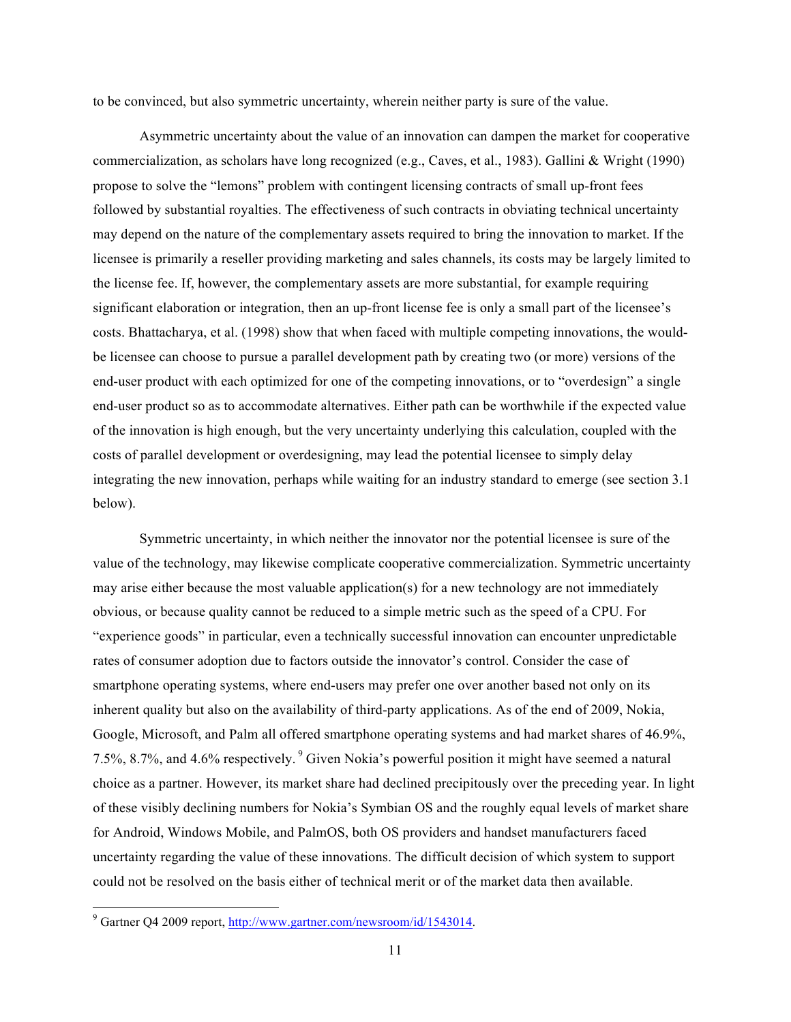to be convinced, but also symmetric uncertainty, wherein neither party is sure of the value.

Asymmetric uncertainty about the value of an innovation can dampen the market for cooperative commercialization, as scholars have long recognized (e.g., Caves, et al., 1983). Gallini & Wright (1990) propose to solve the "lemons" problem with contingent licensing contracts of small up-front fees followed by substantial royalties. The effectiveness of such contracts in obviating technical uncertainty may depend on the nature of the complementary assets required to bring the innovation to market. If the licensee is primarily a reseller providing marketing and sales channels, its costs may be largely limited to the license fee. If, however, the complementary assets are more substantial, for example requiring significant elaboration or integration, then an up-front license fee is only a small part of the licensee's costs. Bhattacharya, et al. (1998) show that when faced with multiple competing innovations, the wouldbe licensee can choose to pursue a parallel development path by creating two (or more) versions of the end-user product with each optimized for one of the competing innovations, or to "overdesign" a single end-user product so as to accommodate alternatives. Either path can be worthwhile if the expected value of the innovation is high enough, but the very uncertainty underlying this calculation, coupled with the costs of parallel development or overdesigning, may lead the potential licensee to simply delay integrating the new innovation, perhaps while waiting for an industry standard to emerge (see section 3.1 below).

Symmetric uncertainty, in which neither the innovator nor the potential licensee is sure of the value of the technology, may likewise complicate cooperative commercialization. Symmetric uncertainty may arise either because the most valuable application(s) for a new technology are not immediately obvious, or because quality cannot be reduced to a simple metric such as the speed of a CPU. For "experience goods" in particular, even a technically successful innovation can encounter unpredictable rates of consumer adoption due to factors outside the innovator's control. Consider the case of smartphone operating systems, where end-users may prefer one over another based not only on its inherent quality but also on the availability of third-party applications. As of the end of 2009, Nokia, Google, Microsoft, and Palm all offered smartphone operating systems and had market shares of 46.9%, 7.5%, 8.7%, and 4.6% respectively. <sup>9</sup> Given Nokia's powerful position it might have seemed a natural choice as a partner. However, its market share had declined precipitously over the preceding year. In light of these visibly declining numbers for Nokia's Symbian OS and the roughly equal levels of market share for Android, Windows Mobile, and PalmOS, both OS providers and handset manufacturers faced uncertainty regarding the value of these innovations. The difficult decision of which system to support could not be resolved on the basis either of technical merit or of the market data then available.

<sup>9</sup> Gartner Q4 2009 report, http://www.gartner.com/newsroom/id/1543014.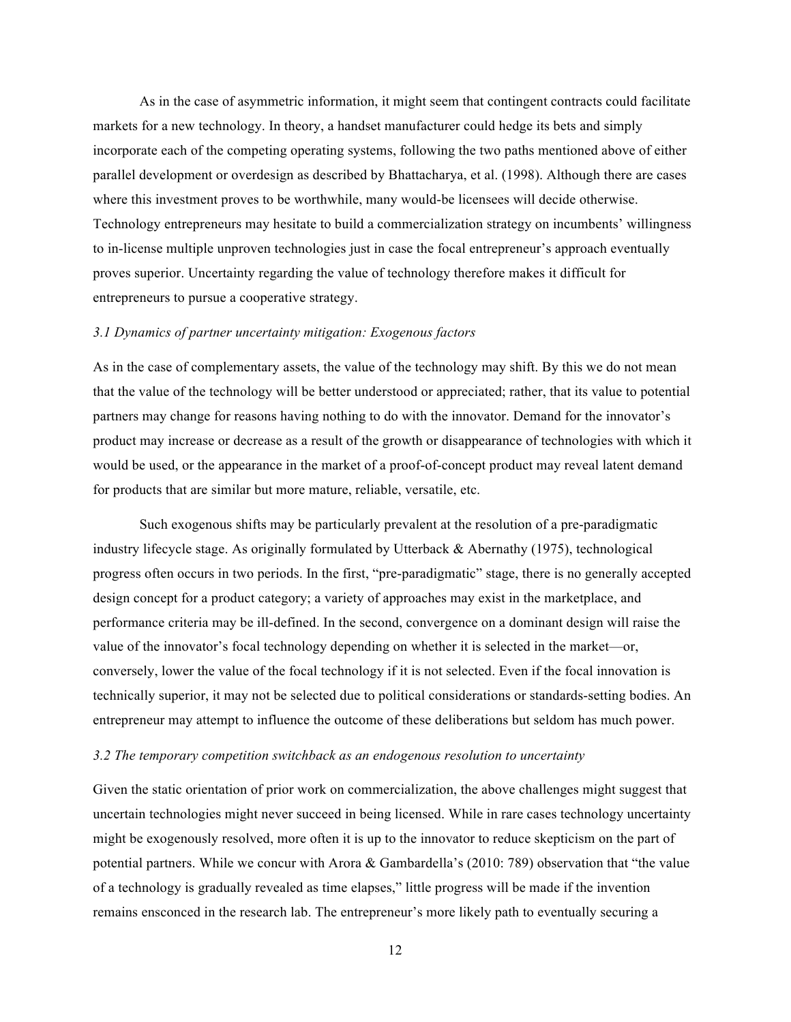As in the case of asymmetric information, it might seem that contingent contracts could facilitate markets for a new technology. In theory, a handset manufacturer could hedge its bets and simply incorporate each of the competing operating systems, following the two paths mentioned above of either parallel development or overdesign as described by Bhattacharya, et al. (1998). Although there are cases where this investment proves to be worthwhile, many would-be licensees will decide otherwise. Technology entrepreneurs may hesitate to build a commercialization strategy on incumbents' willingness to in-license multiple unproven technologies just in case the focal entrepreneur's approach eventually proves superior. Uncertainty regarding the value of technology therefore makes it difficult for entrepreneurs to pursue a cooperative strategy.

### *3.1 Dynamics of partner uncertainty mitigation: Exogenous factors*

As in the case of complementary assets, the value of the technology may shift. By this we do not mean that the value of the technology will be better understood or appreciated; rather, that its value to potential partners may change for reasons having nothing to do with the innovator. Demand for the innovator's product may increase or decrease as a result of the growth or disappearance of technologies with which it would be used, or the appearance in the market of a proof-of-concept product may reveal latent demand for products that are similar but more mature, reliable, versatile, etc.

Such exogenous shifts may be particularly prevalent at the resolution of a pre-paradigmatic industry lifecycle stage. As originally formulated by Utterback & Abernathy (1975), technological progress often occurs in two periods. In the first, "pre-paradigmatic" stage, there is no generally accepted design concept for a product category; a variety of approaches may exist in the marketplace, and performance criteria may be ill-defined. In the second, convergence on a dominant design will raise the value of the innovator's focal technology depending on whether it is selected in the market—or, conversely, lower the value of the focal technology if it is not selected. Even if the focal innovation is technically superior, it may not be selected due to political considerations or standards-setting bodies. An entrepreneur may attempt to influence the outcome of these deliberations but seldom has much power.

#### *3.2 The temporary competition switchback as an endogenous resolution to uncertainty*

Given the static orientation of prior work on commercialization, the above challenges might suggest that uncertain technologies might never succeed in being licensed. While in rare cases technology uncertainty might be exogenously resolved, more often it is up to the innovator to reduce skepticism on the part of potential partners. While we concur with Arora & Gambardella's (2010: 789) observation that "the value of a technology is gradually revealed as time elapses," little progress will be made if the invention remains ensconced in the research lab. The entrepreneur's more likely path to eventually securing a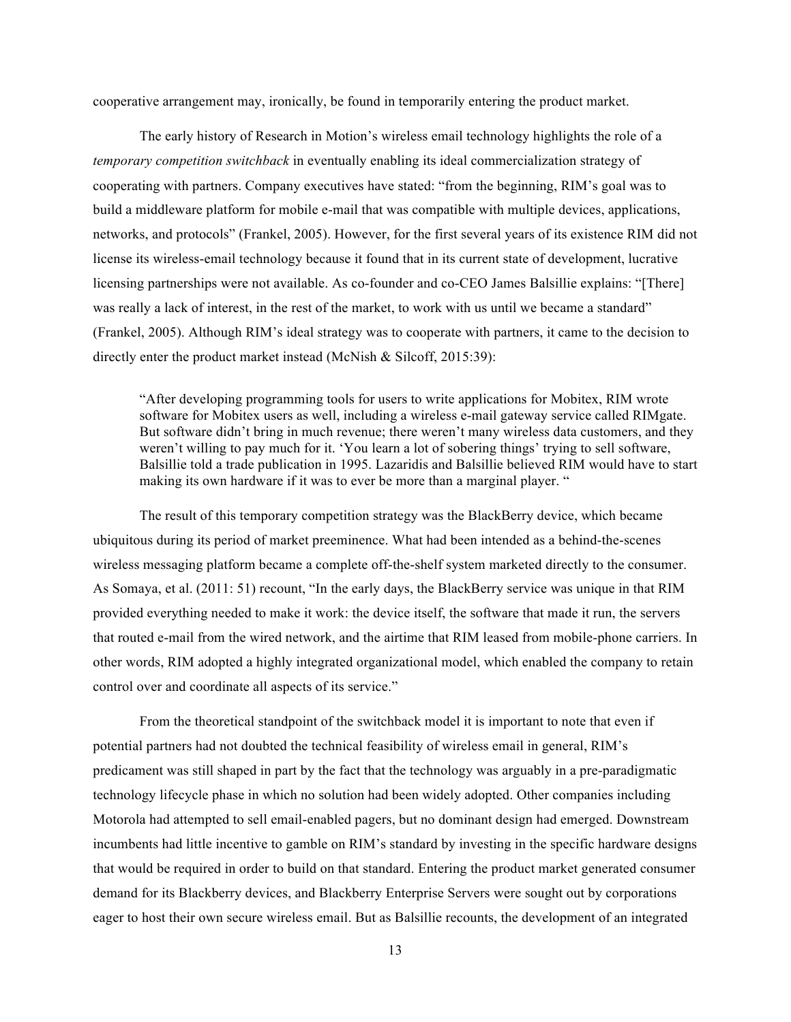cooperative arrangement may, ironically, be found in temporarily entering the product market.

The early history of Research in Motion's wireless email technology highlights the role of a *temporary competition switchback* in eventually enabling its ideal commercialization strategy of cooperating with partners. Company executives have stated: "from the beginning, RIM's goal was to build a middleware platform for mobile e-mail that was compatible with multiple devices, applications, networks, and protocols" (Frankel, 2005). However, for the first several years of its existence RIM did not license its wireless-email technology because it found that in its current state of development, lucrative licensing partnerships were not available. As co-founder and co-CEO James Balsillie explains: "[There] was really a lack of interest, in the rest of the market, to work with us until we became a standard" (Frankel, 2005). Although RIM's ideal strategy was to cooperate with partners, it came to the decision to directly enter the product market instead (McNish & Silcoff, 2015:39):

"After developing programming tools for users to write applications for Mobitex, RIM wrote software for Mobitex users as well, including a wireless e-mail gateway service called RIMgate. But software didn't bring in much revenue; there weren't many wireless data customers, and they weren't willing to pay much for it. 'You learn a lot of sobering things' trying to sell software, Balsillie told a trade publication in 1995. Lazaridis and Balsillie believed RIM would have to start making its own hardware if it was to ever be more than a marginal player. "

The result of this temporary competition strategy was the BlackBerry device, which became ubiquitous during its period of market preeminence. What had been intended as a behind-the-scenes wireless messaging platform became a complete off-the-shelf system marketed directly to the consumer. As Somaya, et al. (2011: 51) recount, "In the early days, the BlackBerry service was unique in that RIM provided everything needed to make it work: the device itself, the software that made it run, the servers that routed e-mail from the wired network, and the airtime that RIM leased from mobile-phone carriers. In other words, RIM adopted a highly integrated organizational model, which enabled the company to retain control over and coordinate all aspects of its service."

From the theoretical standpoint of the switchback model it is important to note that even if potential partners had not doubted the technical feasibility of wireless email in general, RIM's predicament was still shaped in part by the fact that the technology was arguably in a pre-paradigmatic technology lifecycle phase in which no solution had been widely adopted. Other companies including Motorola had attempted to sell email-enabled pagers, but no dominant design had emerged. Downstream incumbents had little incentive to gamble on RIM's standard by investing in the specific hardware designs that would be required in order to build on that standard. Entering the product market generated consumer demand for its Blackberry devices, and Blackberry Enterprise Servers were sought out by corporations eager to host their own secure wireless email. But as Balsillie recounts, the development of an integrated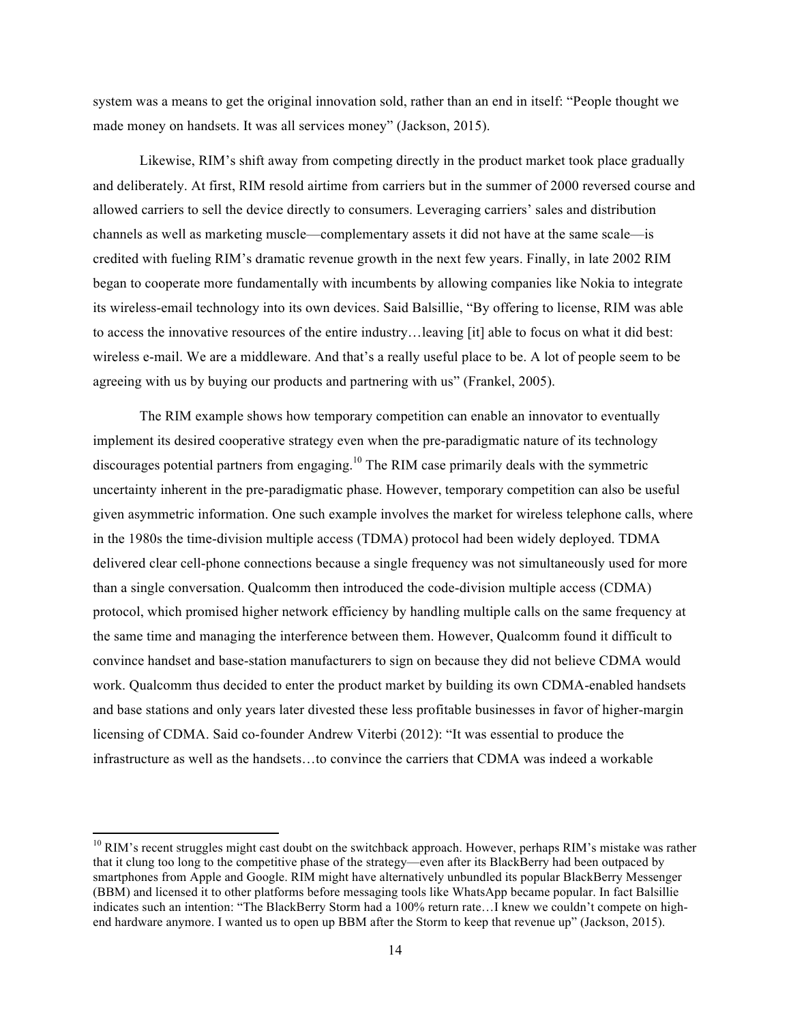system was a means to get the original innovation sold, rather than an end in itself: "People thought we made money on handsets. It was all services money" (Jackson, 2015).

Likewise, RIM's shift away from competing directly in the product market took place gradually and deliberately. At first, RIM resold airtime from carriers but in the summer of 2000 reversed course and allowed carriers to sell the device directly to consumers. Leveraging carriers' sales and distribution channels as well as marketing muscle—complementary assets it did not have at the same scale—is credited with fueling RIM's dramatic revenue growth in the next few years. Finally, in late 2002 RIM began to cooperate more fundamentally with incumbents by allowing companies like Nokia to integrate its wireless-email technology into its own devices. Said Balsillie, "By offering to license, RIM was able to access the innovative resources of the entire industry…leaving [it] able to focus on what it did best: wireless e-mail. We are a middleware. And that's a really useful place to be. A lot of people seem to be agreeing with us by buying our products and partnering with us" (Frankel, 2005).

The RIM example shows how temporary competition can enable an innovator to eventually implement its desired cooperative strategy even when the pre-paradigmatic nature of its technology discourages potential partners from engaging.<sup>10</sup> The RIM case primarily deals with the symmetric uncertainty inherent in the pre-paradigmatic phase. However, temporary competition can also be useful given asymmetric information. One such example involves the market for wireless telephone calls, where in the 1980s the time-division multiple access (TDMA) protocol had been widely deployed. TDMA delivered clear cell-phone connections because a single frequency was not simultaneously used for more than a single conversation. Qualcomm then introduced the code-division multiple access (CDMA) protocol, which promised higher network efficiency by handling multiple calls on the same frequency at the same time and managing the interference between them. However, Qualcomm found it difficult to convince handset and base-station manufacturers to sign on because they did not believe CDMA would work. Qualcomm thus decided to enter the product market by building its own CDMA-enabled handsets and base stations and only years later divested these less profitable businesses in favor of higher-margin licensing of CDMA. Said co-founder Andrew Viterbi (2012): "It was essential to produce the infrastructure as well as the handsets…to convince the carriers that CDMA was indeed a workable

 $10$  RIM's recent struggles might cast doubt on the switchback approach. However, perhaps RIM's mistake was rather that it clung too long to the competitive phase of the strategy—even after its BlackBerry had been outpaced by smartphones from Apple and Google. RIM might have alternatively unbundled its popular BlackBerry Messenger (BBM) and licensed it to other platforms before messaging tools like WhatsApp became popular. In fact Balsillie indicates such an intention: "The BlackBerry Storm had a 100% return rate…I knew we couldn't compete on highend hardware anymore. I wanted us to open up BBM after the Storm to keep that revenue up" (Jackson, 2015).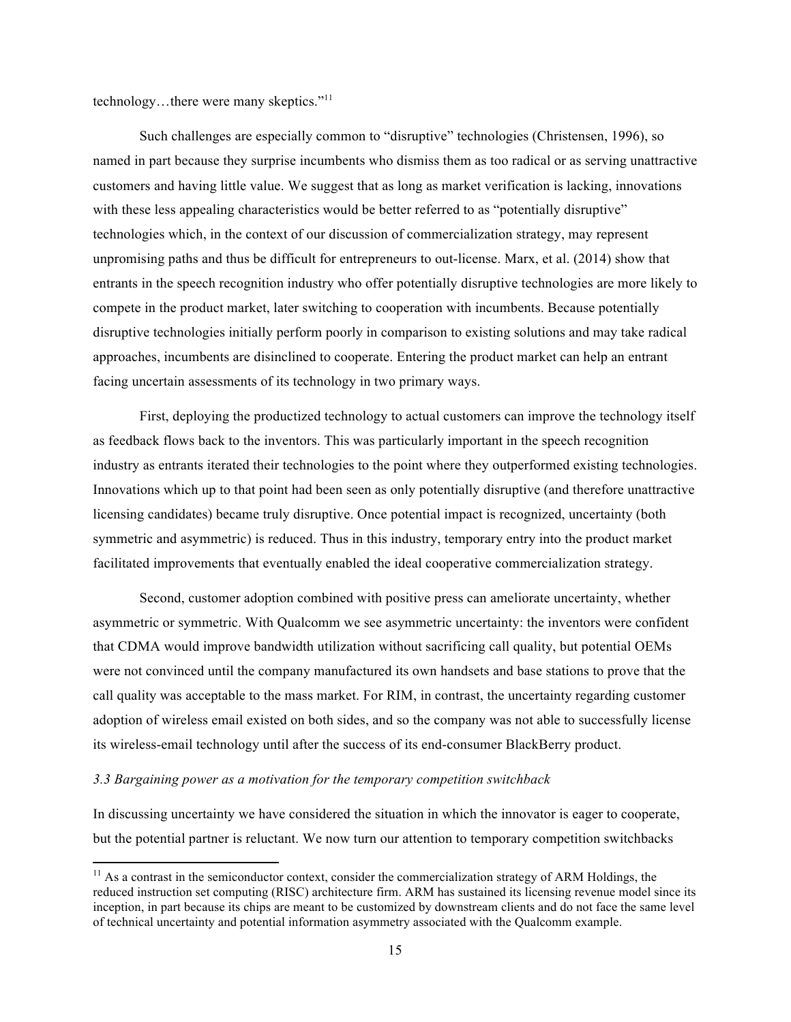technology...there were many skeptics."<sup>11</sup>

Such challenges are especially common to "disruptive" technologies (Christensen, 1996), so named in part because they surprise incumbents who dismiss them as too radical or as serving unattractive customers and having little value. We suggest that as long as market verification is lacking, innovations with these less appealing characteristics would be better referred to as "potentially disruptive" technologies which, in the context of our discussion of commercialization strategy, may represent unpromising paths and thus be difficult for entrepreneurs to out-license. Marx, et al. (2014) show that entrants in the speech recognition industry who offer potentially disruptive technologies are more likely to compete in the product market, later switching to cooperation with incumbents. Because potentially disruptive technologies initially perform poorly in comparison to existing solutions and may take radical approaches, incumbents are disinclined to cooperate. Entering the product market can help an entrant facing uncertain assessments of its technology in two primary ways.

First, deploying the productized technology to actual customers can improve the technology itself as feedback flows back to the inventors. This was particularly important in the speech recognition industry as entrants iterated their technologies to the point where they outperformed existing technologies. Innovations which up to that point had been seen as only potentially disruptive (and therefore unattractive licensing candidates) became truly disruptive. Once potential impact is recognized, uncertainty (both symmetric and asymmetric) is reduced. Thus in this industry, temporary entry into the product market facilitated improvements that eventually enabled the ideal cooperative commercialization strategy.

Second, customer adoption combined with positive press can ameliorate uncertainty, whether asymmetric or symmetric. With Qualcomm we see asymmetric uncertainty: the inventors were confident that CDMA would improve bandwidth utilization without sacrificing call quality, but potential OEMs were not convinced until the company manufactured its own handsets and base stations to prove that the call quality was acceptable to the mass market. For RIM, in contrast, the uncertainty regarding customer adoption of wireless email existed on both sides, and so the company was not able to successfully license its wireless-email technology until after the success of its end-consumer BlackBerry product.

### *3.3 Bargaining power as a motivation for the temporary competition switchback*

!!!!!!!!!!!!!!!!!!!!!!!!!!!!!!!!!!!!!!!!!!!!!!!!!!!!!!!!!!!!

In discussing uncertainty we have considered the situation in which the innovator is eager to cooperate, but the potential partner is reluctant. We now turn our attention to temporary competition switchbacks

 $11$  As a contrast in the semiconductor context, consider the commercialization strategy of ARM Holdings, the reduced instruction set computing (RISC) architecture firm. ARM has sustained its licensing revenue model since its inception, in part because its chips are meant to be customized by downstream clients and do not face the same level of technical uncertainty and potential information asymmetry associated with the Qualcomm example.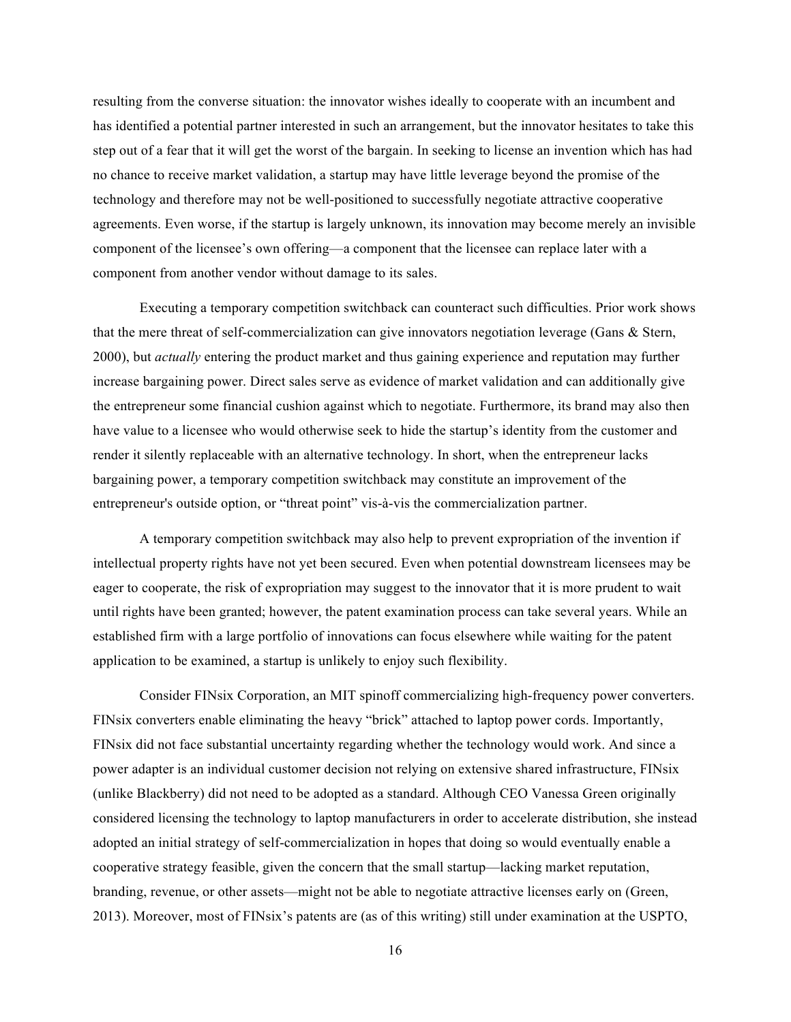resulting from the converse situation: the innovator wishes ideally to cooperate with an incumbent and has identified a potential partner interested in such an arrangement, but the innovator hesitates to take this step out of a fear that it will get the worst of the bargain. In seeking to license an invention which has had no chance to receive market validation, a startup may have little leverage beyond the promise of the technology and therefore may not be well-positioned to successfully negotiate attractive cooperative agreements. Even worse, if the startup is largely unknown, its innovation may become merely an invisible component of the licensee's own offering—a component that the licensee can replace later with a component from another vendor without damage to its sales.

Executing a temporary competition switchback can counteract such difficulties. Prior work shows that the mere threat of self-commercialization can give innovators negotiation leverage (Gans & Stern, 2000), but *actually* entering the product market and thus gaining experience and reputation may further increase bargaining power. Direct sales serve as evidence of market validation and can additionally give the entrepreneur some financial cushion against which to negotiate. Furthermore, its brand may also then have value to a licensee who would otherwise seek to hide the startup's identity from the customer and render it silently replaceable with an alternative technology. In short, when the entrepreneur lacks bargaining power, a temporary competition switchback may constitute an improvement of the entrepreneur's outside option, or "threat point" vis-à-vis the commercialization partner.

A temporary competition switchback may also help to prevent expropriation of the invention if intellectual property rights have not yet been secured. Even when potential downstream licensees may be eager to cooperate, the risk of expropriation may suggest to the innovator that it is more prudent to wait until rights have been granted; however, the patent examination process can take several years. While an established firm with a large portfolio of innovations can focus elsewhere while waiting for the patent application to be examined, a startup is unlikely to enjoy such flexibility.

Consider FINsix Corporation, an MIT spinoff commercializing high-frequency power converters. FINsix converters enable eliminating the heavy "brick" attached to laptop power cords. Importantly, FINsix did not face substantial uncertainty regarding whether the technology would work. And since a power adapter is an individual customer decision not relying on extensive shared infrastructure, FINsix (unlike Blackberry) did not need to be adopted as a standard. Although CEO Vanessa Green originally considered licensing the technology to laptop manufacturers in order to accelerate distribution, she instead adopted an initial strategy of self-commercialization in hopes that doing so would eventually enable a cooperative strategy feasible, given the concern that the small startup—lacking market reputation, branding, revenue, or other assets—might not be able to negotiate attractive licenses early on (Green, 2013). Moreover, most of FINsix's patents are (as of this writing) still under examination at the USPTO,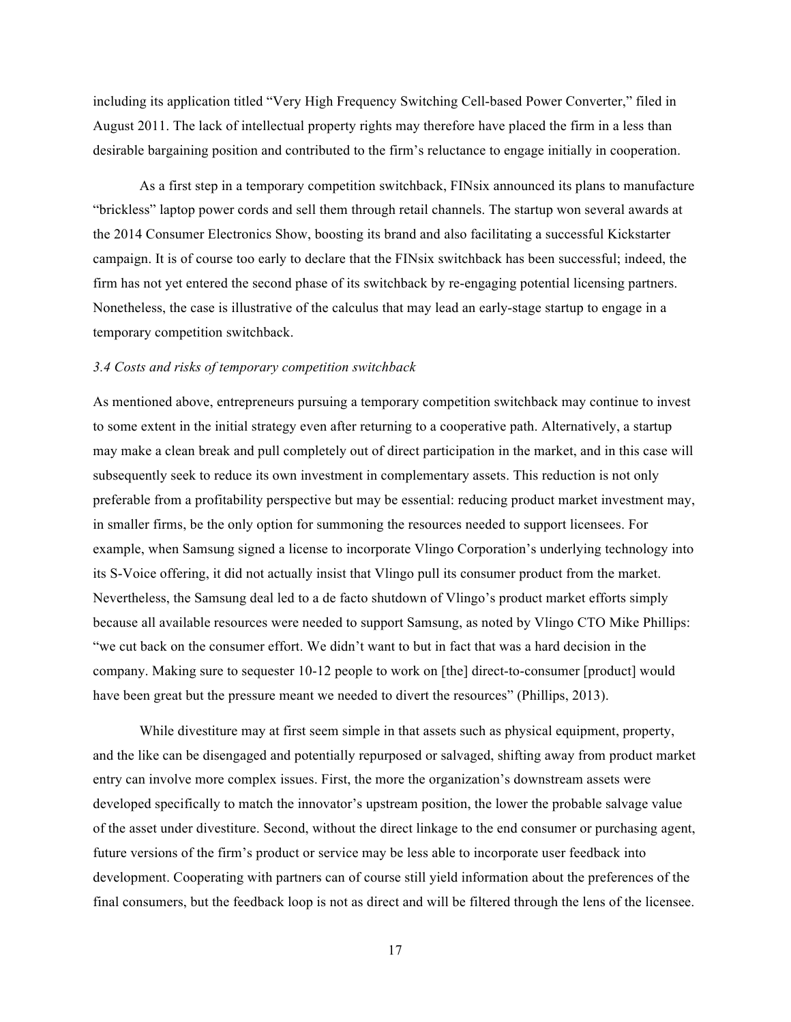including its application titled "Very High Frequency Switching Cell-based Power Converter," filed in August 2011. The lack of intellectual property rights may therefore have placed the firm in a less than desirable bargaining position and contributed to the firm's reluctance to engage initially in cooperation.

As a first step in a temporary competition switchback, FINsix announced its plans to manufacture "brickless" laptop power cords and sell them through retail channels. The startup won several awards at the 2014 Consumer Electronics Show, boosting its brand and also facilitating a successful Kickstarter campaign. It is of course too early to declare that the FINsix switchback has been successful; indeed, the firm has not yet entered the second phase of its switchback by re-engaging potential licensing partners. Nonetheless, the case is illustrative of the calculus that may lead an early-stage startup to engage in a temporary competition switchback.

#### *3.4 Costs and risks of temporary competition switchback*

As mentioned above, entrepreneurs pursuing a temporary competition switchback may continue to invest to some extent in the initial strategy even after returning to a cooperative path. Alternatively, a startup may make a clean break and pull completely out of direct participation in the market, and in this case will subsequently seek to reduce its own investment in complementary assets. This reduction is not only preferable from a profitability perspective but may be essential: reducing product market investment may, in smaller firms, be the only option for summoning the resources needed to support licensees. For example, when Samsung signed a license to incorporate Vlingo Corporation's underlying technology into its S-Voice offering, it did not actually insist that Vlingo pull its consumer product from the market. Nevertheless, the Samsung deal led to a de facto shutdown of Vlingo's product market efforts simply because all available resources were needed to support Samsung, as noted by Vlingo CTO Mike Phillips: "we cut back on the consumer effort. We didn't want to but in fact that was a hard decision in the company. Making sure to sequester 10-12 people to work on [the] direct-to-consumer [product] would have been great but the pressure meant we needed to divert the resources" (Phillips, 2013).

While divestiture may at first seem simple in that assets such as physical equipment, property, and the like can be disengaged and potentially repurposed or salvaged, shifting away from product market entry can involve more complex issues. First, the more the organization's downstream assets were developed specifically to match the innovator's upstream position, the lower the probable salvage value of the asset under divestiture. Second, without the direct linkage to the end consumer or purchasing agent, future versions of the firm's product or service may be less able to incorporate user feedback into development. Cooperating with partners can of course still yield information about the preferences of the final consumers, but the feedback loop is not as direct and will be filtered through the lens of the licensee.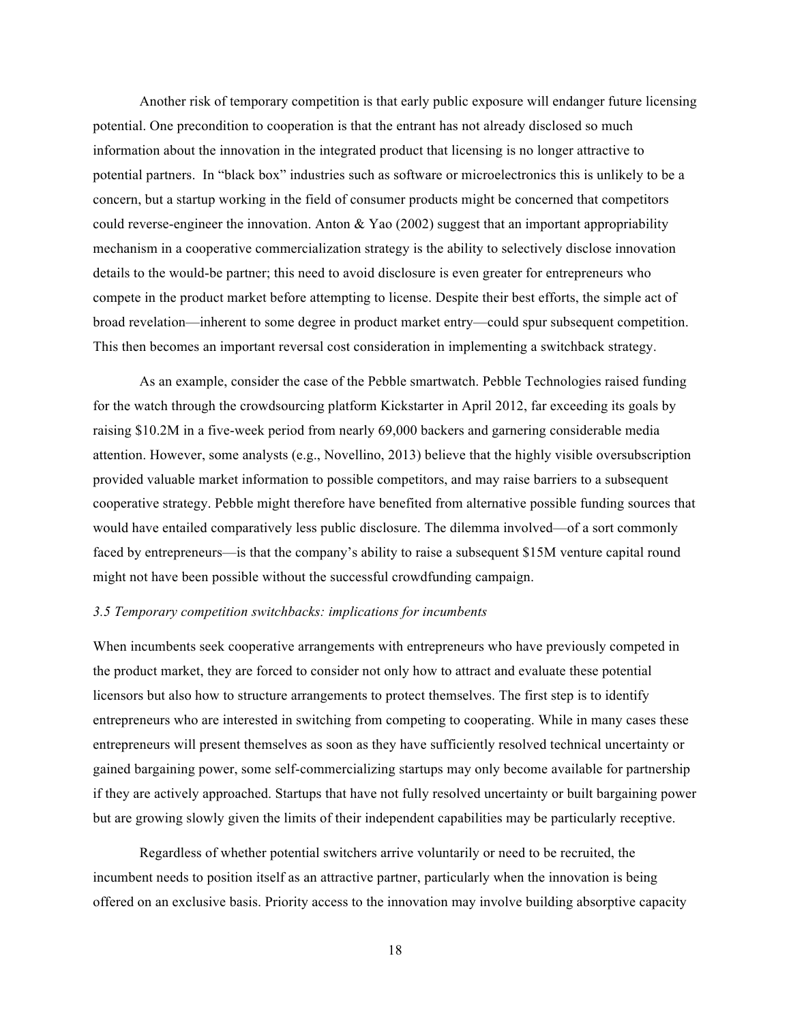Another risk of temporary competition is that early public exposure will endanger future licensing potential. One precondition to cooperation is that the entrant has not already disclosed so much information about the innovation in the integrated product that licensing is no longer attractive to potential partners. In "black box" industries such as software or microelectronics this is unlikely to be a concern, but a startup working in the field of consumer products might be concerned that competitors could reverse-engineer the innovation. Anton  $\&$  Yao (2002) suggest that an important appropriability mechanism in a cooperative commercialization strategy is the ability to selectively disclose innovation details to the would-be partner; this need to avoid disclosure is even greater for entrepreneurs who compete in the product market before attempting to license. Despite their best efforts, the simple act of broad revelation—inherent to some degree in product market entry—could spur subsequent competition. This then becomes an important reversal cost consideration in implementing a switchback strategy.

As an example, consider the case of the Pebble smartwatch. Pebble Technologies raised funding for the watch through the crowdsourcing platform Kickstarter in April 2012, far exceeding its goals by raising \$10.2M in a five-week period from nearly 69,000 backers and garnering considerable media attention. However, some analysts (e.g., Novellino, 2013) believe that the highly visible oversubscription provided valuable market information to possible competitors, and may raise barriers to a subsequent cooperative strategy. Pebble might therefore have benefited from alternative possible funding sources that would have entailed comparatively less public disclosure. The dilemma involved—of a sort commonly faced by entrepreneurs—is that the company's ability to raise a subsequent \$15M venture capital round might not have been possible without the successful crowdfunding campaign.

#### *3.5 Temporary competition switchbacks: implications for incumbents*

When incumbents seek cooperative arrangements with entrepreneurs who have previously competed in the product market, they are forced to consider not only how to attract and evaluate these potential licensors but also how to structure arrangements to protect themselves. The first step is to identify entrepreneurs who are interested in switching from competing to cooperating. While in many cases these entrepreneurs will present themselves as soon as they have sufficiently resolved technical uncertainty or gained bargaining power, some self-commercializing startups may only become available for partnership if they are actively approached. Startups that have not fully resolved uncertainty or built bargaining power but are growing slowly given the limits of their independent capabilities may be particularly receptive.

Regardless of whether potential switchers arrive voluntarily or need to be recruited, the incumbent needs to position itself as an attractive partner, particularly when the innovation is being offered on an exclusive basis. Priority access to the innovation may involve building absorptive capacity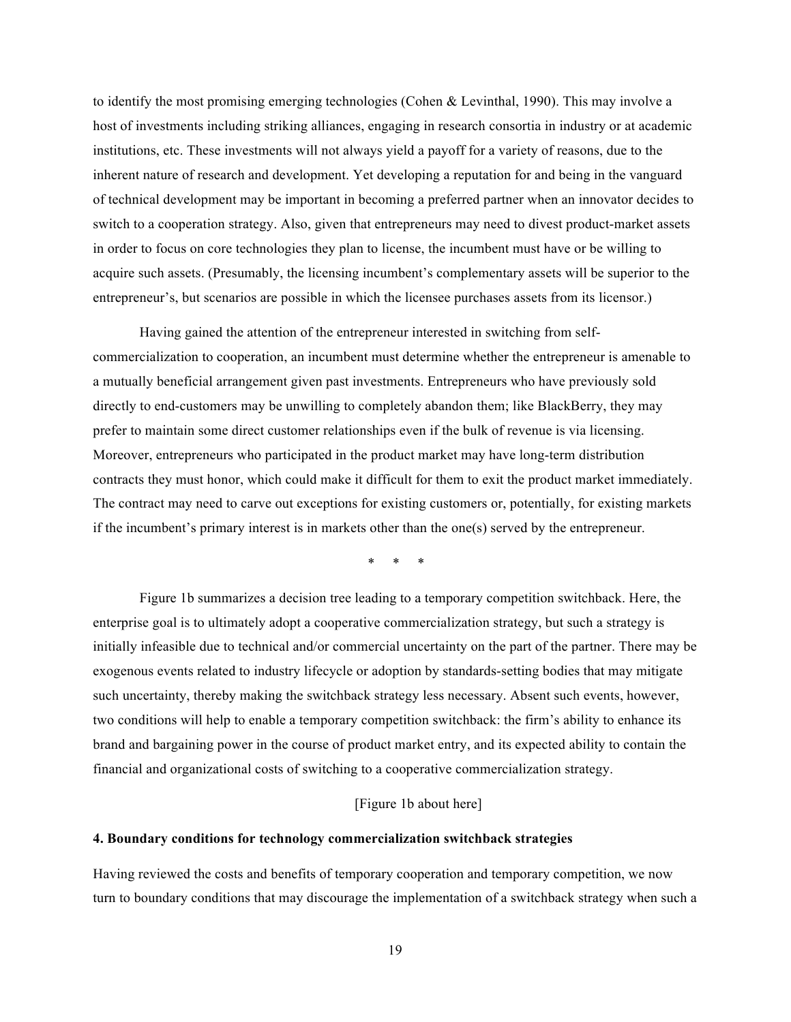to identify the most promising emerging technologies (Cohen & Levinthal, 1990). This may involve a host of investments including striking alliances, engaging in research consortia in industry or at academic institutions, etc. These investments will not always yield a payoff for a variety of reasons, due to the inherent nature of research and development. Yet developing a reputation for and being in the vanguard of technical development may be important in becoming a preferred partner when an innovator decides to switch to a cooperation strategy. Also, given that entrepreneurs may need to divest product-market assets in order to focus on core technologies they plan to license, the incumbent must have or be willing to acquire such assets. (Presumably, the licensing incumbent's complementary assets will be superior to the entrepreneur's, but scenarios are possible in which the licensee purchases assets from its licensor.)

Having gained the attention of the entrepreneur interested in switching from selfcommercialization to cooperation, an incumbent must determine whether the entrepreneur is amenable to a mutually beneficial arrangement given past investments. Entrepreneurs who have previously sold directly to end-customers may be unwilling to completely abandon them; like BlackBerry, they may prefer to maintain some direct customer relationships even if the bulk of revenue is via licensing. Moreover, entrepreneurs who participated in the product market may have long-term distribution contracts they must honor, which could make it difficult for them to exit the product market immediately. The contract may need to carve out exceptions for existing customers or, potentially, for existing markets if the incumbent's primary interest is in markets other than the one(s) served by the entrepreneur.

*\* \* \**

Figure 1b summarizes a decision tree leading to a temporary competition switchback. Here, the enterprise goal is to ultimately adopt a cooperative commercialization strategy, but such a strategy is initially infeasible due to technical and/or commercial uncertainty on the part of the partner. There may be exogenous events related to industry lifecycle or adoption by standards-setting bodies that may mitigate such uncertainty, thereby making the switchback strategy less necessary. Absent such events, however, two conditions will help to enable a temporary competition switchback: the firm's ability to enhance its brand and bargaining power in the course of product market entry, and its expected ability to contain the financial and organizational costs of switching to a cooperative commercialization strategy.

# [Figure 1b about here]

## **4. Boundary conditions for technology commercialization switchback strategies**

Having reviewed the costs and benefits of temporary cooperation and temporary competition, we now turn to boundary conditions that may discourage the implementation of a switchback strategy when such a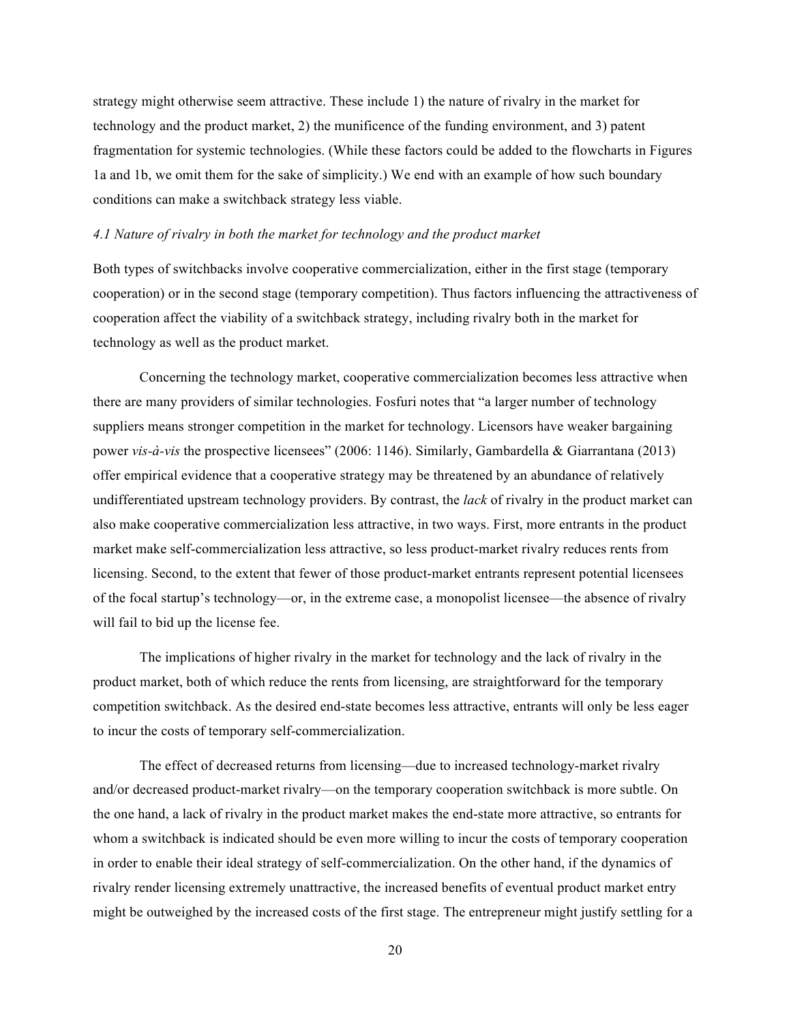strategy might otherwise seem attractive. These include 1) the nature of rivalry in the market for technology and the product market, 2) the munificence of the funding environment, and 3) patent fragmentation for systemic technologies. (While these factors could be added to the flowcharts in Figures 1a and 1b, we omit them for the sake of simplicity.) We end with an example of how such boundary conditions can make a switchback strategy less viable.

#### *4.1 Nature of rivalry in both the market for technology and the product market*

Both types of switchbacks involve cooperative commercialization, either in the first stage (temporary cooperation) or in the second stage (temporary competition). Thus factors influencing the attractiveness of cooperation affect the viability of a switchback strategy, including rivalry both in the market for technology as well as the product market.

Concerning the technology market, cooperative commercialization becomes less attractive when there are many providers of similar technologies. Fosfuri notes that "a larger number of technology suppliers means stronger competition in the market for technology. Licensors have weaker bargaining power *vis-à-vis* the prospective licensees" (2006: 1146). Similarly, Gambardella & Giarrantana (2013) offer empirical evidence that a cooperative strategy may be threatened by an abundance of relatively undifferentiated upstream technology providers. By contrast, the *lack* of rivalry in the product market can also make cooperative commercialization less attractive, in two ways. First, more entrants in the product market make self-commercialization less attractive, so less product-market rivalry reduces rents from licensing. Second, to the extent that fewer of those product-market entrants represent potential licensees of the focal startup's technology—or, in the extreme case, a monopolist licensee—the absence of rivalry will fail to bid up the license fee.

The implications of higher rivalry in the market for technology and the lack of rivalry in the product market, both of which reduce the rents from licensing, are straightforward for the temporary competition switchback. As the desired end-state becomes less attractive, entrants will only be less eager to incur the costs of temporary self-commercialization.

The effect of decreased returns from licensing—due to increased technology-market rivalry and/or decreased product-market rivalry—on the temporary cooperation switchback is more subtle. On the one hand, a lack of rivalry in the product market makes the end-state more attractive, so entrants for whom a switchback is indicated should be even more willing to incur the costs of temporary cooperation in order to enable their ideal strategy of self-commercialization. On the other hand, if the dynamics of rivalry render licensing extremely unattractive, the increased benefits of eventual product market entry might be outweighed by the increased costs of the first stage. The entrepreneur might justify settling for a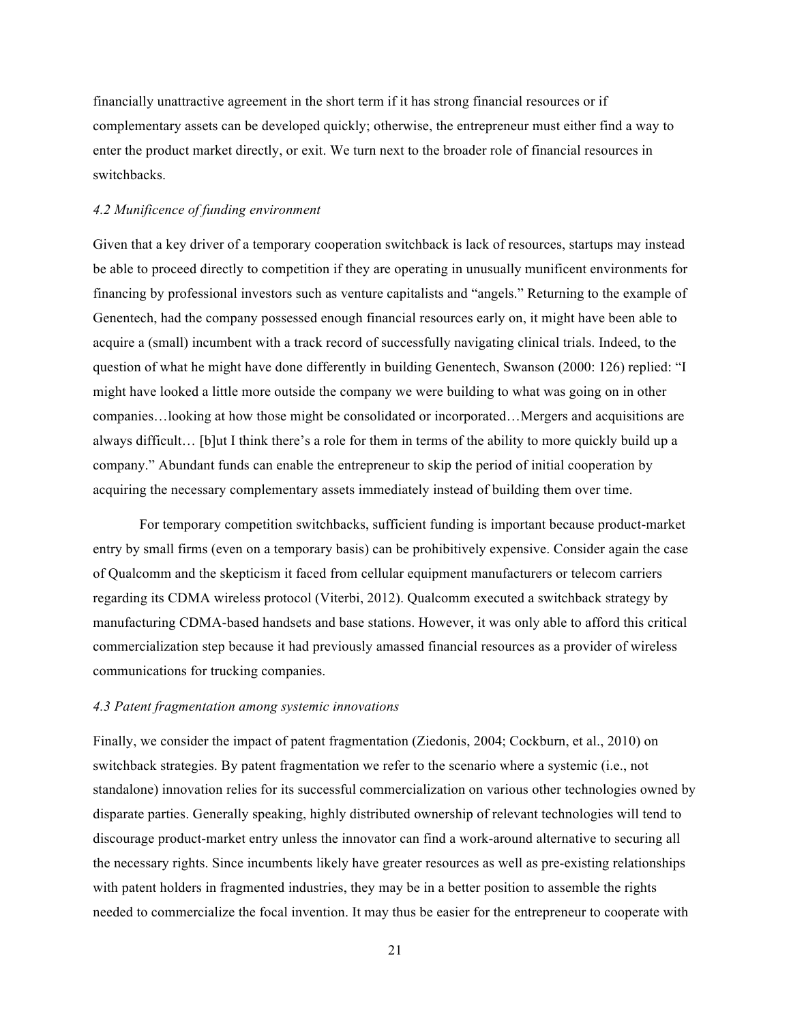financially unattractive agreement in the short term if it has strong financial resources or if complementary assets can be developed quickly; otherwise, the entrepreneur must either find a way to enter the product market directly, or exit. We turn next to the broader role of financial resources in switchbacks.

#### *4.2 Munificence of funding environment*

Given that a key driver of a temporary cooperation switchback is lack of resources, startups may instead be able to proceed directly to competition if they are operating in unusually munificent environments for financing by professional investors such as venture capitalists and "angels." Returning to the example of Genentech, had the company possessed enough financial resources early on, it might have been able to acquire a (small) incumbent with a track record of successfully navigating clinical trials. Indeed, to the question of what he might have done differently in building Genentech, Swanson (2000: 126) replied: "I might have looked a little more outside the company we were building to what was going on in other companies…looking at how those might be consolidated or incorporated…Mergers and acquisitions are always difficult… [b]ut I think there's a role for them in terms of the ability to more quickly build up a company." Abundant funds can enable the entrepreneur to skip the period of initial cooperation by acquiring the necessary complementary assets immediately instead of building them over time.

For temporary competition switchbacks, sufficient funding is important because product-market entry by small firms (even on a temporary basis) can be prohibitively expensive. Consider again the case of Qualcomm and the skepticism it faced from cellular equipment manufacturers or telecom carriers regarding its CDMA wireless protocol (Viterbi, 2012). Qualcomm executed a switchback strategy by manufacturing CDMA-based handsets and base stations. However, it was only able to afford this critical commercialization step because it had previously amassed financial resources as a provider of wireless communications for trucking companies.

## *4.3 Patent fragmentation among systemic innovations*

Finally, we consider the impact of patent fragmentation (Ziedonis, 2004; Cockburn, et al., 2010) on switchback strategies. By patent fragmentation we refer to the scenario where a systemic (i.e., not standalone) innovation relies for its successful commercialization on various other technologies owned by disparate parties. Generally speaking, highly distributed ownership of relevant technologies will tend to discourage product-market entry unless the innovator can find a work-around alternative to securing all the necessary rights. Since incumbents likely have greater resources as well as pre-existing relationships with patent holders in fragmented industries, they may be in a better position to assemble the rights needed to commercialize the focal invention. It may thus be easier for the entrepreneur to cooperate with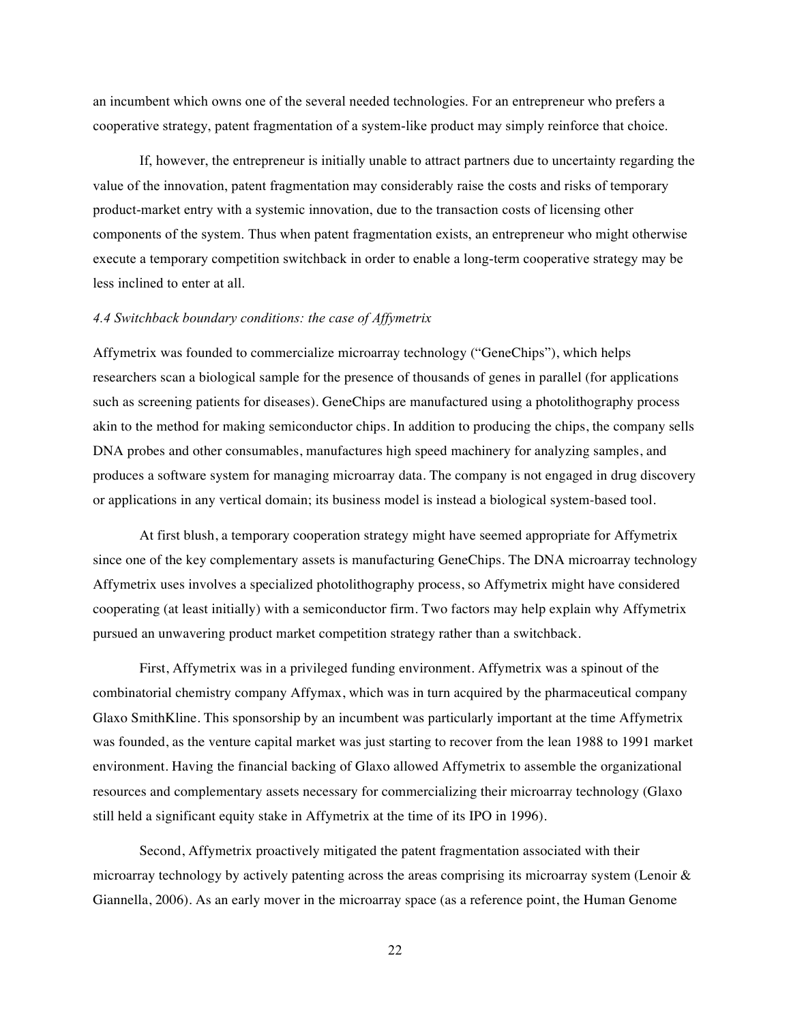an incumbent which owns one of the several needed technologies. For an entrepreneur who prefers a cooperative strategy, patent fragmentation of a system-like product may simply reinforce that choice.

If, however, the entrepreneur is initially unable to attract partners due to uncertainty regarding the value of the innovation, patent fragmentation may considerably raise the costs and risks of temporary product-market entry with a systemic innovation, due to the transaction costs of licensing other components of the system. Thus when patent fragmentation exists, an entrepreneur who might otherwise execute a temporary competition switchback in order to enable a long-term cooperative strategy may be less inclined to enter at all.

#### *4.4 Switchback boundary conditions: the case of Affymetrix*

Affymetrix was founded to commercialize microarray technology ("GeneChips"), which helps researchers scan a biological sample for the presence of thousands of genes in parallel (for applications such as screening patients for diseases). GeneChips are manufactured using a photolithography process akin to the method for making semiconductor chips. In addition to producing the chips, the company sells DNA probes and other consumables, manufactures high speed machinery for analyzing samples, and produces a software system for managing microarray data. The company is not engaged in drug discovery or applications in any vertical domain; its business model is instead a biological system-based tool.

At first blush, a temporary cooperation strategy might have seemed appropriate for Affymetrix since one of the key complementary assets is manufacturing GeneChips. The DNA microarray technology Affymetrix uses involves a specialized photolithography process, so Affymetrix might have considered cooperating (at least initially) with a semiconductor firm. Two factors may help explain why Affymetrix pursued an unwavering product market competition strategy rather than a switchback.

First, Affymetrix was in a privileged funding environment. Affymetrix was a spinout of the combinatorial chemistry company Affymax, which was in turn acquired by the pharmaceutical company Glaxo SmithKline. This sponsorship by an incumbent was particularly important at the time Affymetrix was founded, as the venture capital market was just starting to recover from the lean 1988 to 1991 market environment. Having the financial backing of Glaxo allowed Affymetrix to assemble the organizational resources and complementary assets necessary for commercializing their microarray technology (Glaxo still held a significant equity stake in Affymetrix at the time of its IPO in 1996).

Second, Affymetrix proactively mitigated the patent fragmentation associated with their microarray technology by actively patenting across the areas comprising its microarray system (Lenoir  $\&$ Giannella, 2006). As an early mover in the microarray space (as a reference point, the Human Genome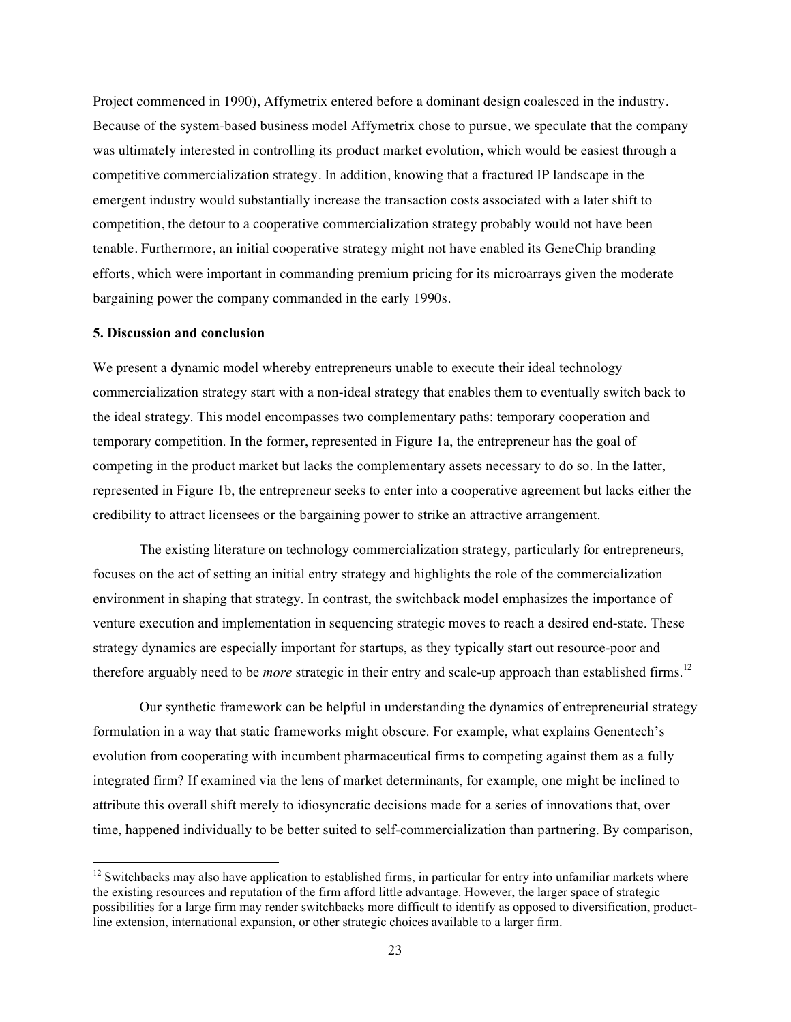Project commenced in 1990), Affymetrix entered before a dominant design coalesced in the industry. Because of the system-based business model Affymetrix chose to pursue, we speculate that the company was ultimately interested in controlling its product market evolution, which would be easiest through a competitive commercialization strategy. In addition, knowing that a fractured IP landscape in the emergent industry would substantially increase the transaction costs associated with a later shift to competition, the detour to a cooperative commercialization strategy probably would not have been tenable. Furthermore, an initial cooperative strategy might not have enabled its GeneChip branding efforts, which were important in commanding premium pricing for its microarrays given the moderate bargaining power the company commanded in the early 1990s.

## **5. Discussion and conclusion**

!!!!!!!!!!!!!!!!!!!!!!!!!!!!!!!!!!!!!!!!!!!!!!!!!!!!!!!!!!!!

We present a dynamic model whereby entrepreneurs unable to execute their ideal technology commercialization strategy start with a non-ideal strategy that enables them to eventually switch back to the ideal strategy. This model encompasses two complementary paths: temporary cooperation and temporary competition. In the former, represented in Figure 1a, the entrepreneur has the goal of competing in the product market but lacks the complementary assets necessary to do so. In the latter, represented in Figure 1b, the entrepreneur seeks to enter into a cooperative agreement but lacks either the credibility to attract licensees or the bargaining power to strike an attractive arrangement.

The existing literature on technology commercialization strategy, particularly for entrepreneurs, focuses on the act of setting an initial entry strategy and highlights the role of the commercialization environment in shaping that strategy. In contrast, the switchback model emphasizes the importance of venture execution and implementation in sequencing strategic moves to reach a desired end-state. These strategy dynamics are especially important for startups, as they typically start out resource-poor and therefore arguably need to be *more* strategic in their entry and scale-up approach than established firms.<sup>12</sup>

Our synthetic framework can be helpful in understanding the dynamics of entrepreneurial strategy formulation in a way that static frameworks might obscure. For example, what explains Genentech's evolution from cooperating with incumbent pharmaceutical firms to competing against them as a fully integrated firm? If examined via the lens of market determinants, for example, one might be inclined to attribute this overall shift merely to idiosyncratic decisions made for a series of innovations that, over time, happened individually to be better suited to self-commercialization than partnering. By comparison,

 $12$  Switchbacks may also have application to established firms, in particular for entry into unfamiliar markets where the existing resources and reputation of the firm afford little advantage. However, the larger space of strategic possibilities for a large firm may render switchbacks more difficult to identify as opposed to diversification, productline extension, international expansion, or other strategic choices available to a larger firm.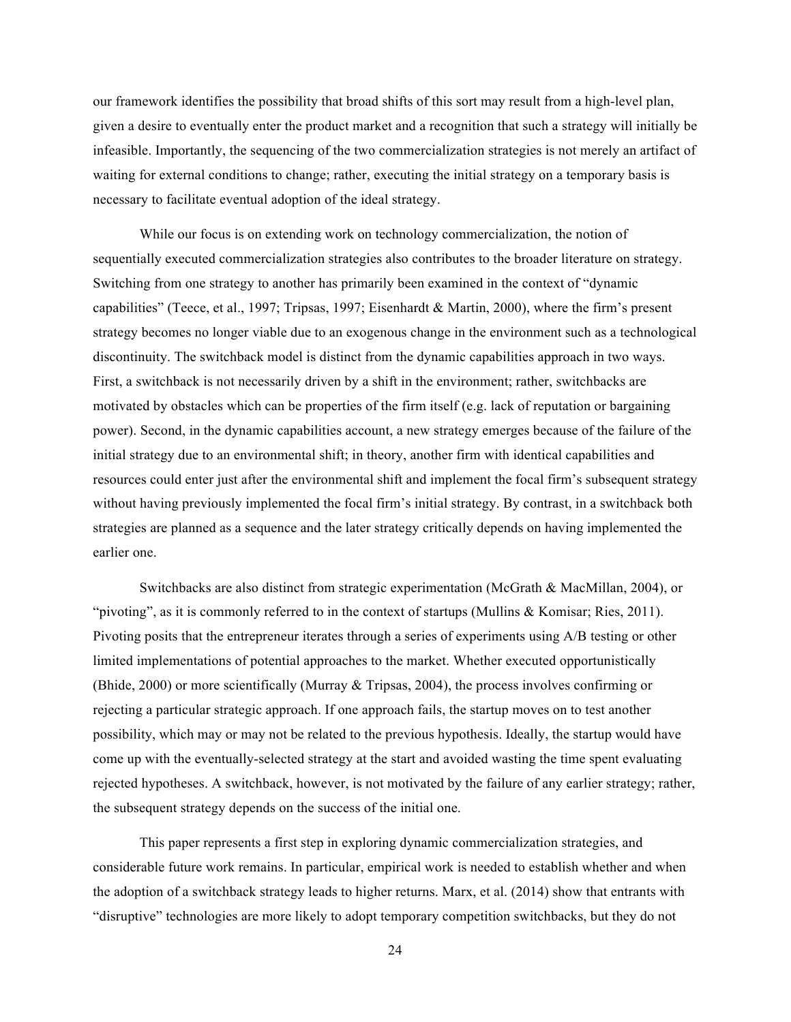our framework identifies the possibility that broad shifts of this sort may result from a high-level plan, given a desire to eventually enter the product market and a recognition that such a strategy will initially be infeasible. Importantly, the sequencing of the two commercialization strategies is not merely an artifact of waiting for external conditions to change; rather, executing the initial strategy on a temporary basis is necessary to facilitate eventual adoption of the ideal strategy.

While our focus is on extending work on technology commercialization, the notion of sequentially executed commercialization strategies also contributes to the broader literature on strategy. Switching from one strategy to another has primarily been examined in the context of "dynamic capabilities" (Teece, et al., 1997; Tripsas, 1997; Eisenhardt & Martin, 2000), where the firm's present strategy becomes no longer viable due to an exogenous change in the environment such as a technological discontinuity. The switchback model is distinct from the dynamic capabilities approach in two ways. First, a switchback is not necessarily driven by a shift in the environment; rather, switchbacks are motivated by obstacles which can be properties of the firm itself (e.g. lack of reputation or bargaining power). Second, in the dynamic capabilities account, a new strategy emerges because of the failure of the initial strategy due to an environmental shift; in theory, another firm with identical capabilities and resources could enter just after the environmental shift and implement the focal firm's subsequent strategy without having previously implemented the focal firm's initial strategy. By contrast, in a switchback both strategies are planned as a sequence and the later strategy critically depends on having implemented the earlier one.

Switchbacks are also distinct from strategic experimentation (McGrath & MacMillan, 2004), or "pivoting", as it is commonly referred to in the context of startups (Mullins & Komisar; Ries, 2011). Pivoting posits that the entrepreneur iterates through a series of experiments using A/B testing or other limited implementations of potential approaches to the market. Whether executed opportunistically (Bhide, 2000) or more scientifically (Murray & Tripsas, 2004), the process involves confirming or rejecting a particular strategic approach. If one approach fails, the startup moves on to test another possibility, which may or may not be related to the previous hypothesis. Ideally, the startup would have come up with the eventually-selected strategy at the start and avoided wasting the time spent evaluating rejected hypotheses. A switchback, however, is not motivated by the failure of any earlier strategy; rather, the subsequent strategy depends on the success of the initial one.

This paper represents a first step in exploring dynamic commercialization strategies, and considerable future work remains. In particular, empirical work is needed to establish whether and when the adoption of a switchback strategy leads to higher returns. Marx, et al. (2014) show that entrants with "disruptive" technologies are more likely to adopt temporary competition switchbacks, but they do not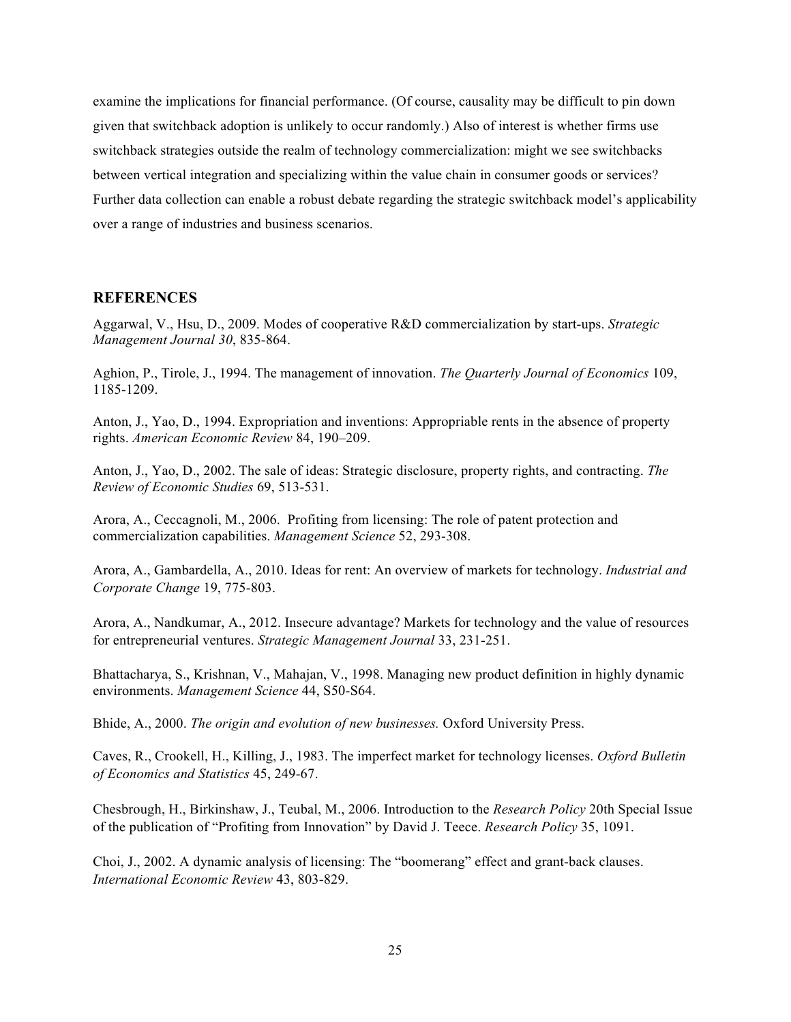examine the implications for financial performance. (Of course, causality may be difficult to pin down given that switchback adoption is unlikely to occur randomly.) Also of interest is whether firms use switchback strategies outside the realm of technology commercialization: might we see switchbacks between vertical integration and specializing within the value chain in consumer goods or services? Further data collection can enable a robust debate regarding the strategic switchback model's applicability over a range of industries and business scenarios.

# **REFERENCES**

Aggarwal, V., Hsu, D., 2009. Modes of cooperative R&D commercialization by start-ups. *Strategic Management Journal 30*, 835-864.

Aghion, P., Tirole, J., 1994. The management of innovation. *The Quarterly Journal of Economics* 109, 1185-1209.

Anton, J., Yao, D., 1994. Expropriation and inventions: Appropriable rents in the absence of property rights. *American Economic Review* 84, 190–209.

Anton, J., Yao, D., 2002. The sale of ideas: Strategic disclosure, property rights, and contracting. *The Review of Economic Studies* 69, 513-531.

Arora, A., Ceccagnoli, M., 2006. Profiting from licensing: The role of patent protection and commercialization capabilities. *Management Science* 52, 293-308.

Arora, A., Gambardella, A., 2010. Ideas for rent: An overview of markets for technology. *Industrial and Corporate Change* 19, 775-803.

Arora, A., Nandkumar, A., 2012. Insecure advantage? Markets for technology and the value of resources for entrepreneurial ventures. *Strategic Management Journal* 33, 231-251.

Bhattacharya, S., Krishnan, V., Mahajan, V., 1998. Managing new product definition in highly dynamic environments. *Management Science* 44, S50-S64.

Bhide, A., 2000. *The origin and evolution of new businesses.* Oxford University Press.

Caves, R., Crookell, H., Killing, J., 1983. The imperfect market for technology licenses. *Oxford Bulletin of Economics and Statistics* 45, 249-67.

Chesbrough, H., Birkinshaw, J., Teubal, M., 2006. Introduction to the *Research Policy* 20th Special Issue of the publication of "Profiting from Innovation" by David J. Teece. *Research Policy* 35, 1091.

Choi, J., 2002. A dynamic analysis of licensing: The "boomerang" effect and grant-back clauses. *International Economic Review* 43, 803-829.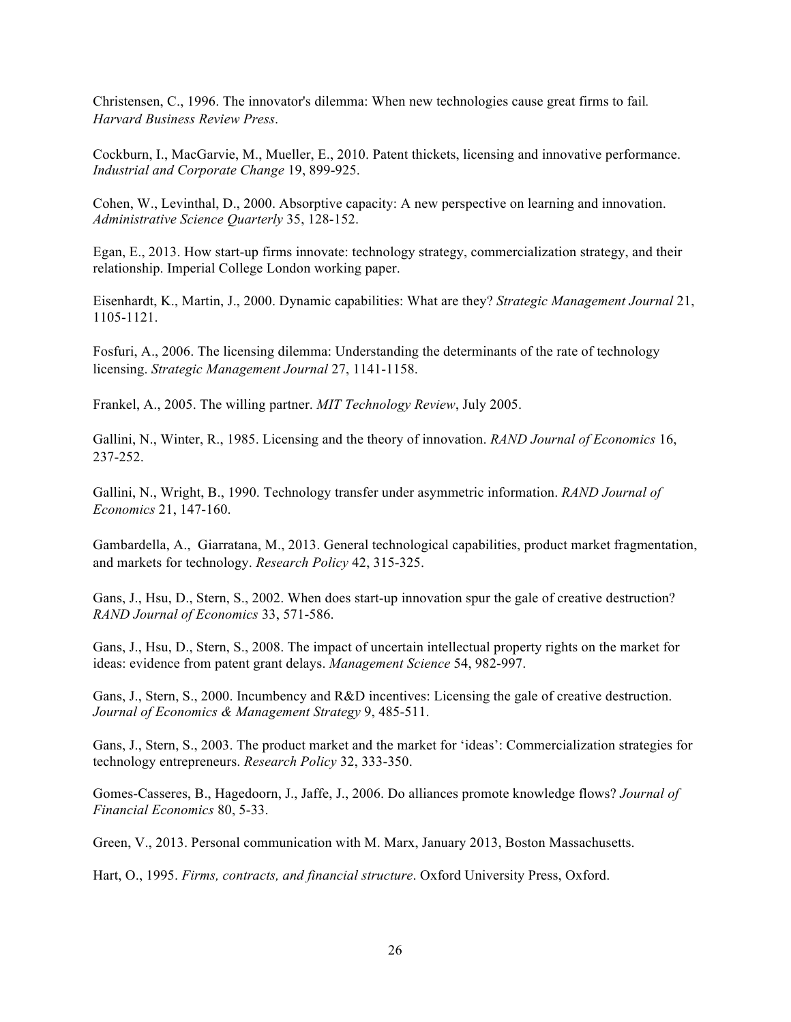Christensen, C., 1996. The innovator's dilemma: When new technologies cause great firms to fail*. Harvard Business Review Press*.

Cockburn, I., MacGarvie, M., Mueller, E., 2010. Patent thickets, licensing and innovative performance. *Industrial and Corporate Change* 19, 899-925.

Cohen, W., Levinthal, D., 2000. Absorptive capacity: A new perspective on learning and innovation. *Administrative Science Quarterly* 35, 128-152.

Egan, E., 2013. How start-up firms innovate: technology strategy, commercialization strategy, and their relationship. Imperial College London working paper.

Eisenhardt, K., Martin, J., 2000. Dynamic capabilities: What are they? *Strategic Management Journal* 21, 1105-1121.

Fosfuri, A., 2006. The licensing dilemma: Understanding the determinants of the rate of technology licensing. *Strategic Management Journal* 27, 1141-1158.

Frankel, A., 2005. The willing partner. *MIT Technology Review*, July 2005.

Gallini, N., Winter, R., 1985. Licensing and the theory of innovation. *RAND Journal of Economics* 16, 237-252.

Gallini, N., Wright, B., 1990. Technology transfer under asymmetric information. *RAND Journal of Economics* 21, 147-160.

Gambardella, A., Giarratana, M., 2013. General technological capabilities, product market fragmentation, and markets for technology. *Research Policy* 42, 315-325.

Gans, J., Hsu, D., Stern, S., 2002. When does start-up innovation spur the gale of creative destruction? *RAND Journal of Economics* 33, 571-586.

Gans, J., Hsu, D., Stern, S., 2008. The impact of uncertain intellectual property rights on the market for ideas: evidence from patent grant delays. *Management Science* 54, 982-997.

Gans, J., Stern, S., 2000. Incumbency and R&D incentives: Licensing the gale of creative destruction. *Journal of Economics & Management Strategy* 9, 485-511.

Gans, J., Stern, S., 2003. The product market and the market for 'ideas': Commercialization strategies for technology entrepreneurs. *Research Policy* 32, 333-350.

Gomes-Casseres, B., Hagedoorn, J., Jaffe, J., 2006. Do alliances promote knowledge flows? *Journal of Financial Economics* 80, 5-33.

Green, V., 2013. Personal communication with M. Marx, January 2013, Boston Massachusetts.

Hart, O., 1995. *Firms, contracts, and financial structure*. Oxford University Press, Oxford.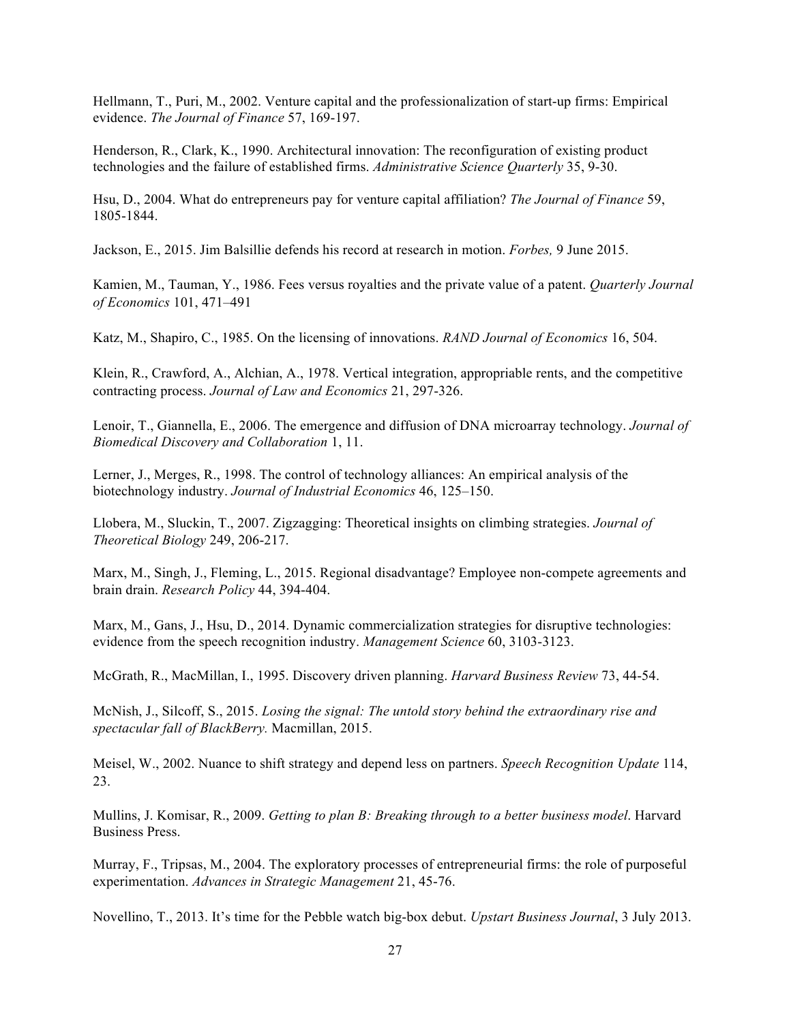Hellmann, T., Puri, M., 2002. Venture capital and the professionalization of start-up firms: Empirical evidence. *The Journal of Finance* 57, 169-197.

Henderson, R., Clark, K., 1990. Architectural innovation: The reconfiguration of existing product technologies and the failure of established firms. *Administrative Science Quarterly* 35, 9-30.

Hsu, D., 2004. What do entrepreneurs pay for venture capital affiliation? *The Journal of Finance* 59, 1805-1844.

Jackson, E., 2015. Jim Balsillie defends his record at research in motion. *Forbes,* 9 June 2015.

Kamien, M., Tauman, Y., 1986. Fees versus royalties and the private value of a patent. *Quarterly Journal of Economics* 101, 471–491

Katz, M., Shapiro, C., 1985. On the licensing of innovations. *RAND Journal of Economics* 16, 504.

Klein, R., Crawford, A., Alchian, A., 1978. Vertical integration, appropriable rents, and the competitive contracting process. *Journal of Law and Economics* 21, 297-326.

Lenoir, T., Giannella, E., 2006. The emergence and diffusion of DNA microarray technology. *Journal of Biomedical Discovery and Collaboration* 1, 11.

Lerner, J., Merges, R., 1998. The control of technology alliances: An empirical analysis of the biotechnology industry. *Journal of Industrial Economics* 46, 125–150.

Llobera, M., Sluckin, T., 2007. Zigzagging: Theoretical insights on climbing strategies. *Journal of Theoretical Biology* 249, 206-217.

Marx, M., Singh, J., Fleming, L., 2015. Regional disadvantage? Employee non-compete agreements and brain drain. *Research Policy* 44, 394-404.

Marx, M., Gans, J., Hsu, D., 2014. Dynamic commercialization strategies for disruptive technologies: evidence from the speech recognition industry. *Management Science* 60, 3103-3123.

McGrath, R., MacMillan, I., 1995. Discovery driven planning. *Harvard Business Review* 73, 44-54.

McNish, J., Silcoff, S., 2015. *Losing the signal: The untold story behind the extraordinary rise and spectacular fall of BlackBerry.* Macmillan, 2015.

Meisel, W., 2002. Nuance to shift strategy and depend less on partners. *Speech Recognition Update* 114, 23.

Mullins, J. Komisar, R., 2009. *Getting to plan B: Breaking through to a better business model*. Harvard Business Press.

Murray, F., Tripsas, M., 2004. The exploratory processes of entrepreneurial firms: the role of purposeful experimentation. *Advances in Strategic Management* 21, 45-76.

Novellino, T., 2013. It's time for the Pebble watch big-box debut. *Upstart Business Journal*, 3 July 2013.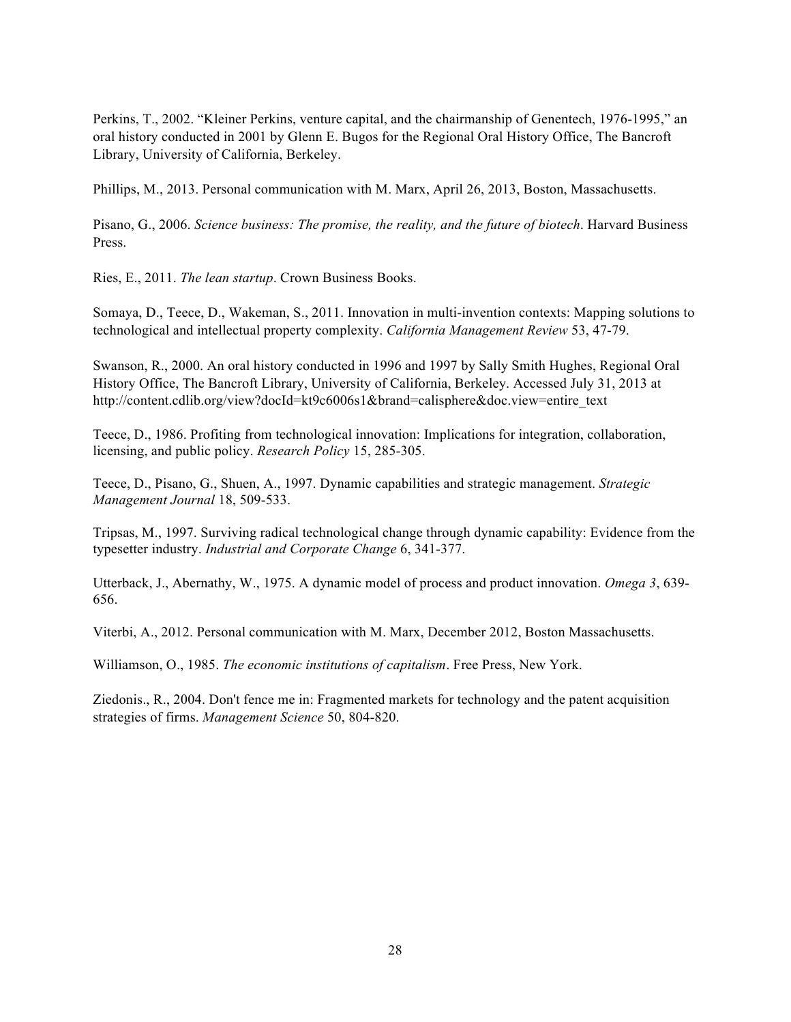Perkins, T., 2002. "Kleiner Perkins, venture capital, and the chairmanship of Genentech, 1976-1995," an oral history conducted in 2001 by Glenn E. Bugos for the Regional Oral History Office, The Bancroft Library, University of California, Berkeley.

Phillips, M., 2013. Personal communication with M. Marx, April 26, 2013, Boston, Massachusetts.

Pisano, G., 2006. *Science business: The promise, the reality, and the future of biotech*. Harvard Business Press.

Ries, E., 2011. *The lean startup*. Crown Business Books.

Somaya, D., Teece, D., Wakeman, S., 2011. Innovation in multi-invention contexts: Mapping solutions to technological and intellectual property complexity. *California Management Review* 53, 47-79.

Swanson, R., 2000. An oral history conducted in 1996 and 1997 by Sally Smith Hughes, Regional Oral History Office, The Bancroft Library, University of California, Berkeley. Accessed July 31, 2013 at http://content.cdlib.org/view?docId=kt9c6006s1&brand=calisphere&doc.view=entire\_text

Teece, D., 1986. Profiting from technological innovation: Implications for integration, collaboration, licensing, and public policy. *Research Policy* 15, 285-305.

Teece, D., Pisano, G., Shuen, A., 1997. Dynamic capabilities and strategic management. *Strategic Management Journal* 18, 509-533.

Tripsas, M., 1997. Surviving radical technological change through dynamic capability: Evidence from the typesetter industry. *Industrial and Corporate Change* 6, 341-377.

Utterback, J., Abernathy, W., 1975. A dynamic model of process and product innovation. *Omega 3*, 639- 656.

Viterbi, A., 2012. Personal communication with M. Marx, December 2012, Boston Massachusetts.

Williamson, O., 1985. *The economic institutions of capitalism*. Free Press, New York.

Ziedonis., R., 2004. Don't fence me in: Fragmented markets for technology and the patent acquisition strategies of firms. *Management Science* 50, 804-820.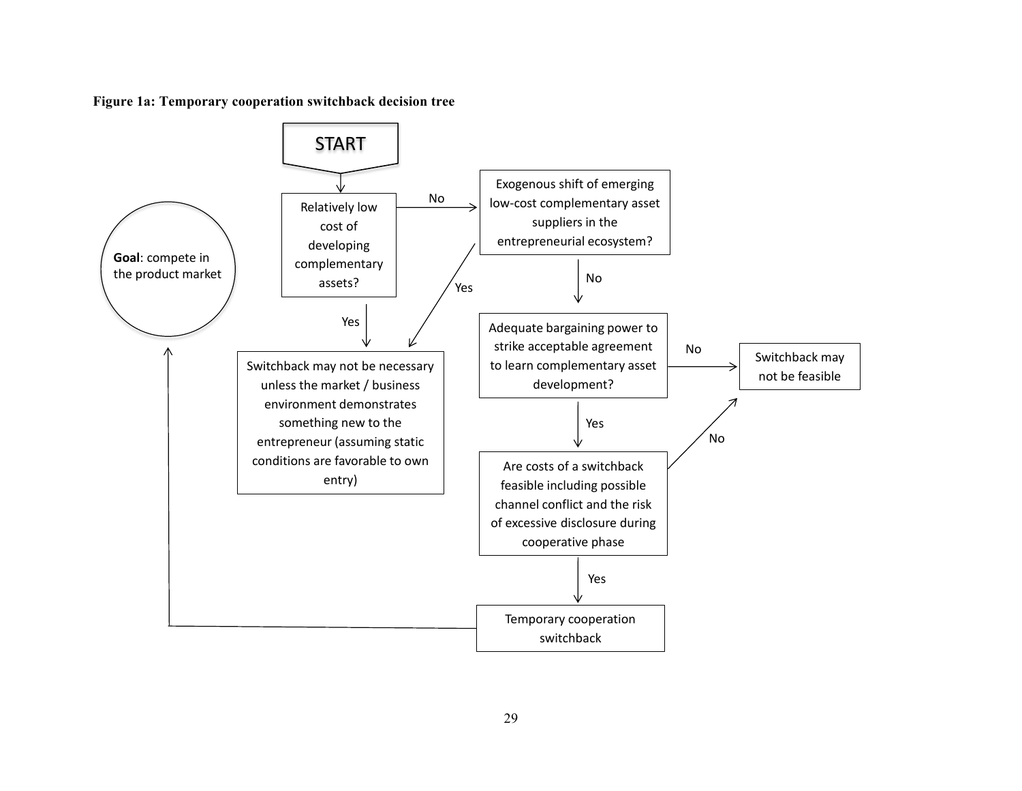